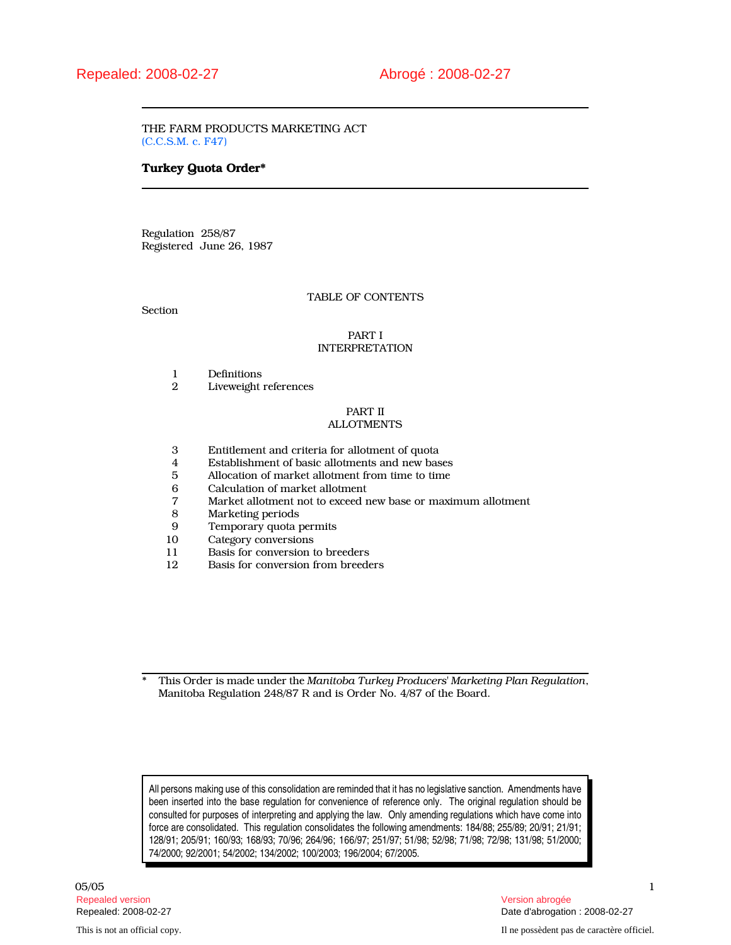THE FARM PRODUCTS MARKETING ACT (C.C.S.M. c. F47)

# Turkey Quota Order\*

Regulation 258/87 Registered June 26, 1987

# TABLE OF CONTENTS

Section

# PART I INTERPRETATION

- 1 Definitions<br>2 Liveweight
- Liveweight references

# PART II ALLOTMENTS

- 3 Entitlement and criteria for allotment of quota
- 4 Establishment of basic allotments and new bases
- 5 Allocation of market allotment from time to time
- 6 Calculation of market allotment
- 7 Market allotment not to exceed new base or maximum allotment
- Marketing periods
- 9 Temporary quota permits<br>10 Category conversions
- 10 Category conversions<br>11 Basis for conversion
- 11 Basis for conversion to breeders<br>12 Basis for conversion from breeder
- Basis for conversion from breeders

\* This Order is made under the Manitoba Turkey Producers' Marketing Plan Regulation, Manitoba Regulation 248/87 R and is Order No. 4/87 of the Board.

All persons making use of this consolidation are reminded that it has no legislative sanction. Amendments have been inserted into the base regulation for convenience of reference only. The original regulation should be consulted for purposes of interpreting and applying the law. Only amending regulations which have come into force are consolidated. This regulation consolidates the following amendments: 184/88; 255/89; 20/91; 21/91; 128/91; 205/91; 160/93; 168/93; 70/96; 264/96; 166/97; 251/97; 51/98; 52/98; 71/98; 72/98; 131/98; 51/2000; 74/2000; 92/2001; 54/2002; 134/2002; 100/2003; 196/2004; 67/2005.

 $05/05$  and  $1$ Repealed version Version abrogée

Repealed: 2008-02-27 Date d'abrogation : 2008-02-27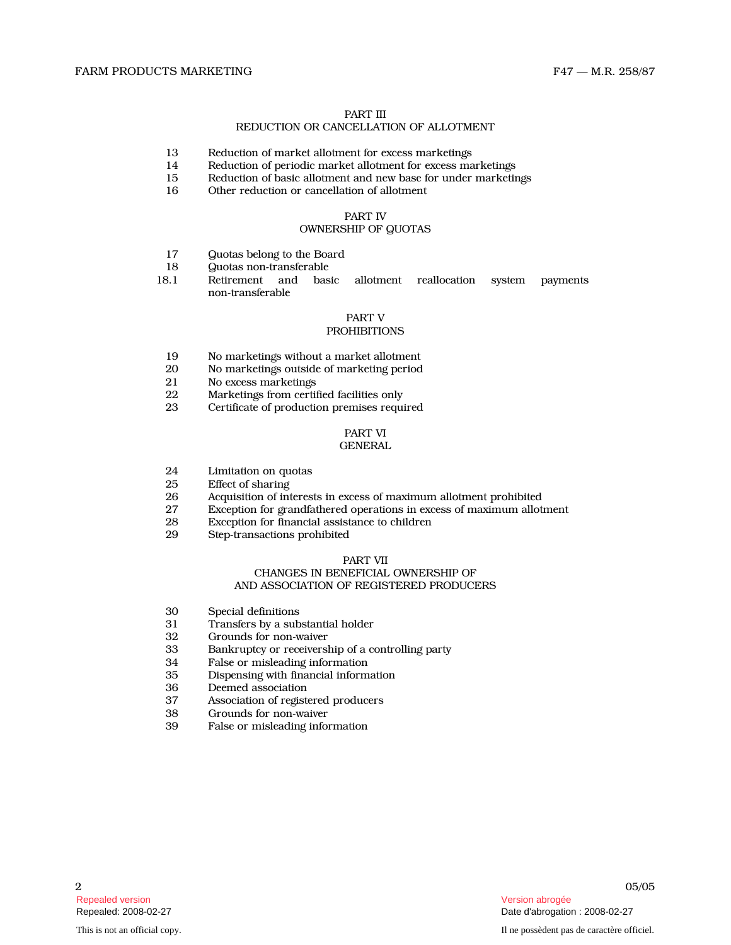# PART III

# REDUCTION OR CANCELLATION OF ALLOTMENT

- 13 Reduction of market allotment for excess marketings<br>14 Reduction of periodic market allotment for excess ma
- 14 Reduction of periodic market allotment for excess marketings<br>15 Reduction of basic allotment and new base for under marketing
- 15 Reduction of basic allotment and new base for under marketings<br>16 Other reduction or cancellation of allotment
- Other reduction or cancellation of allotment

# PART IV

# OWNERSHIP OF QUOTAS

- 17 Quotas belong to the Board
- 18 Quotas non-transferable
- 18.1 Retirement and basic allotment reallocation system payments non-transferable

#### PART V PROHIBITIONS

- 19 No marketings without a market allotment<br>20 No marketings outside of marketing period
- 20 No marketings outside of marketing period<br>21 No excess marketings
- 21 No excess marketings<br>22 Marketings from certi
- 22 Marketings from certified facilities only<br>23 Certificate of production premises requi
- Certificate of production premises required

# PART VI **GENERAL**

- 24 Limitation on quotas<br>25 Effect of sharing
- 25 Effect of sharing<br>26 Acquisition of int
- 26 26 Acquisition of interests in excess of maximum allotment prohibited<br>27 Exception for grandfathered operations in excess of maximum allot
- 27 Exception for grandfathered operations in excess of maximum allotment<br>28 Exception for financial assistance to children
- 28 Exception for financial assistance to children<br>29 Step-transactions prohibited
- Step-transactions prohibited

## PART VII

# CHANGES IN BENEFICIAL OWNERSHIP OF AND ASSOCIATION OF REGISTERED PRODUCERS

- 
- 30 Special definitions<br>31 Transfers by a sub 31 Transfers by a substantial holder<br>32 Grounds for non-waiver
- 32 Grounds for non-waiver<br>33 Bankruptcy or receivers
- 33 Bankruptcy or receivership of a controlling party
- 34 False or misleading information<br>35 Dispensing with financial inform
- 35 Dispensing with financial information
- Deemed association
- 37 Association of registered producers<br>38 Grounds for non-waiver
- 38 Grounds for non-waiver<br>39 False or misleading info
- False or misleading information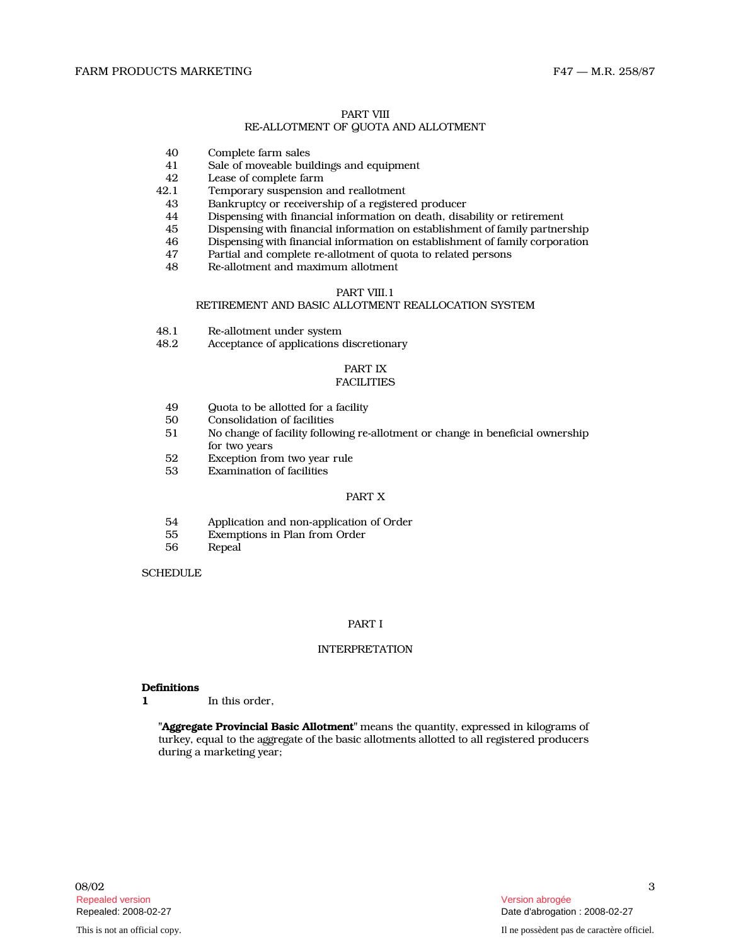# PART VIII

# RE-ALLOTMENT OF QUOTA AND ALLOTMENT

- 40 Complete farm sales<br>41 Sale of moveable bui
- 41 Sale of moveable buildings and equipment<br>42 Lease of complete farm
- 42 Lease of complete farm<br>42.1 Temporary suspension
	- Temporary suspension and reallotment
	- 43 Bankruptcy or receivership of a registered producer
	- 44 Dispensing with financial information on death, disability or retirement<br>45 Dispensing with financial information on establishment of family partner
	-
	- 45 Dispensing with financial information on establishment of family partnership 46 Dispensing with financial information on establishment of family corporation
	- 47 Partial and complete re-allotment of quota to related persons
	- 48 Re-allotment and maximum allotment

#### PART VIII.1

## RETIREMENT AND BASIC ALLOTMENT REALLOCATION SYSTEM

- 48.1 Re-allotment under system<br>48.2 Acceptance of applications
- Acceptance of applications discretionary

# PART IX

# **FACILITIES**

- 49 Guota to be allotted for a facility<br>50 Consolidation of facilities
- 50 Consolidation of facilities<br>51 No change of facility follow
- No change of facility following re-allotment or change in beneficial ownership for two years
- 52 Exception from two year rule<br>53 Examination of facilities
- Examination of facilities

# PART X

- 54 Application and non-application of Order
- 55 Exemptions in Plan from Order
- **Repeal**

**SCHEDULE** 

#### PART I

# INTERPRETATION

#### **Definitions**

1 In this order.

"Aggregate Provincial Basic Allotment" means the quantity, expressed in kilograms of turkey, equal to the aggregate of the basic allotments allotted to all registered producers during a marketing year;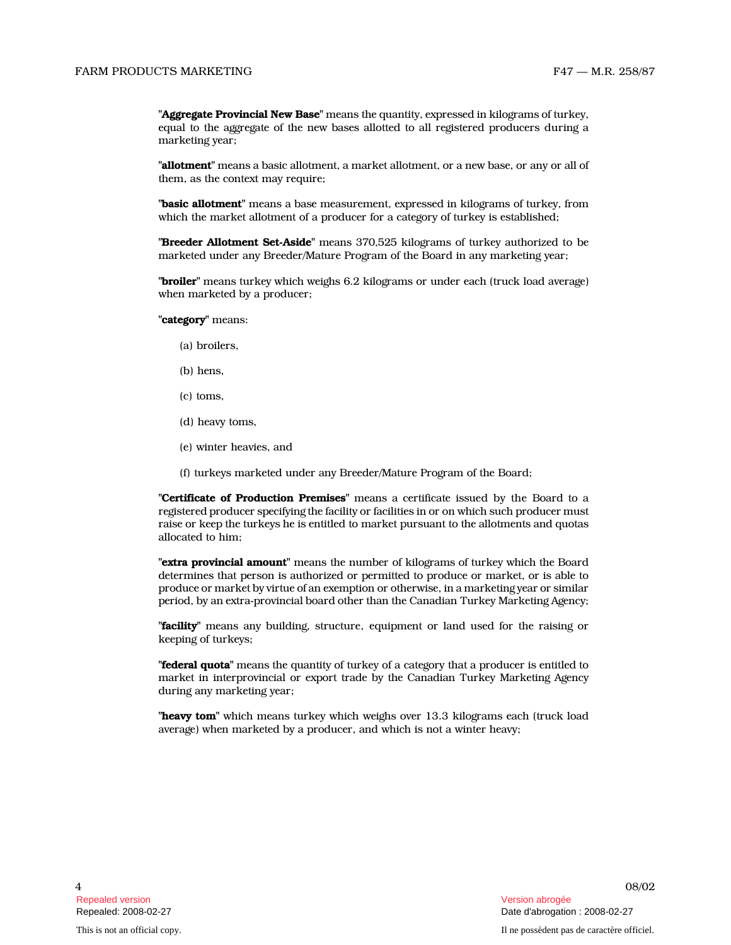"Aggregate Provincial New Base" means the quantity, expressed in kilograms of turkey, equal to the aggregate of the new bases allotted to all registered producers during a marketing year;

"allotment" means a basic allotment, a market allotment, or a new base, or any or all of them, as the context may require;

"basic allotment" means a base measurement, expressed in kilograms of turkey, from which the market allotment of a producer for a category of turkey is established;

"Breeder Allotment Set-Aside" means 370,525 kilograms of turkey authorized to be marketed under any Breeder/Mature Program of the Board in any marketing year;

"**broiler**" means turkey which weighs 6.2 kilograms or under each (truck load average) when marketed by a producer;

"category" means:

- (a) broilers,
- (b) hens,
- (c) toms,
- (d) heavy toms,
- (e) winter heavies, and
- (f) turkeys marketed under any Breeder/Mature Program of the Board;

"Certificate of Production Premises" means a certificate issued by the Board to a registered producer specifying the facility or facilities in or on which such producer must raise or keep the turkeys he is entitled to market pursuant to the allotments and quotas allocated to him;

"extra provincial amount" means the number of kilograms of turkey which the Board determines that person is authorized or permitted to produce or market, or is able to produce or market by virtue of an exemption or otherwise, in a marketing year or similar period, by an extra-provincial board other than the Canadian Turkey Marketing Agency;

"**facility**" means any building, structure, equipment or land used for the raising or keeping of turkeys;

"**federal quota**" means the quantity of turkey of a category that a producer is entitled to market in interprovincial or export trade by the Canadian Turkey Marketing Agency during any marketing year;

"heavy tom" which means turkey which weighs over 13.3 kilograms each (truck load average) when marketed by a producer, and which is not a winter heavy;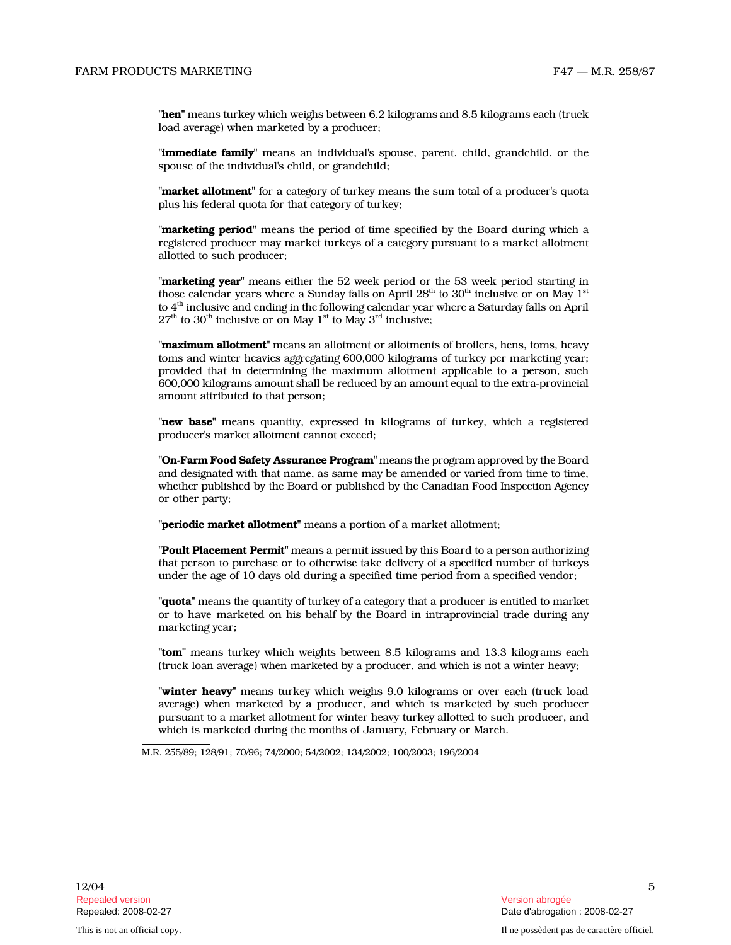"hen" means turkey which weighs between 6.2 kilograms and 8.5 kilograms each (truck load average) when marketed by a producer;

"**immediate family**" means an individual's spouse, parent, child, grandchild, or the spouse of the individual's child, or grandchild;

"market allotment" for a category of turkey means the sum total of a producer's quota plus his federal quota for that category of turkey;

"**marketing period**" means the period of time specified by the Board during which a registered producer may market turkeys of a category pursuant to a market allotment allotted to such producer;

"marketing year" means either the 52 week period or the 53 week period starting in those calendar years where a Sunday falls on April  $28<sup>th</sup>$  to  $30<sup>th</sup>$  inclusive or on May  $1<sup>st</sup>$ to  $4<sup>th</sup>$  inclusive and ending in the following calendar year where a Saturday falls on April  $27<sup>th</sup>$  to  $30<sup>th</sup>$  inclusive or on May  $1<sup>st</sup>$  to May  $3<sup>rd</sup>$  inclusive;

"maximum allotment" means an allotment or allotments of broilers, hens, toms, heavy toms and winter heavies aggregating 600,000 kilograms of turkey per marketing year; provided that in determining the maximum allotment applicable to a person, such 600,000 kilograms amount shall be reduced by an amount equal to the extra-provincial amount attributed to that person;

"new base" means quantity, expressed in kilograms of turkey, which a registered producer's market allotment cannot exceed;

"On-Farm Food Safety Assurance Program" means the program approved by the Board and designated with that name, as same may be amended or varied from time to time, whether published by the Board or published by the Canadian Food Inspection Agency or other party;

"periodic market allotment" means a portion of a market allotment;

"Poult Placement Permit" means a permit issued by this Board to a person authorizing that person to purchase or to otherwise take delivery of a specified number of turkeys under the age of 10 days old during a specified time period from a specified vendor;

"quota" means the quantity of turkey of a category that a producer is entitled to market or to have marketed on his behalf by the Board in intraprovincial trade during any marketing year;

"tom" means turkey which weights between 8.5 kilograms and 13.3 kilograms each (truck loan average) when marketed by a producer, and which is not a winter heavy;

"winter heavy" means turkey which weighs 9.0 kilograms or over each (truck load average) when marketed by a producer, and which is marketed by such producer pursuant to a market allotment for winter heavy turkey allotted to such producer, and which is marketed during the months of January, February or March.

M.R. 255/89; 128/91; 70/96; 74/2000; 54/2002; 134/2002; 100/2003; 196/2004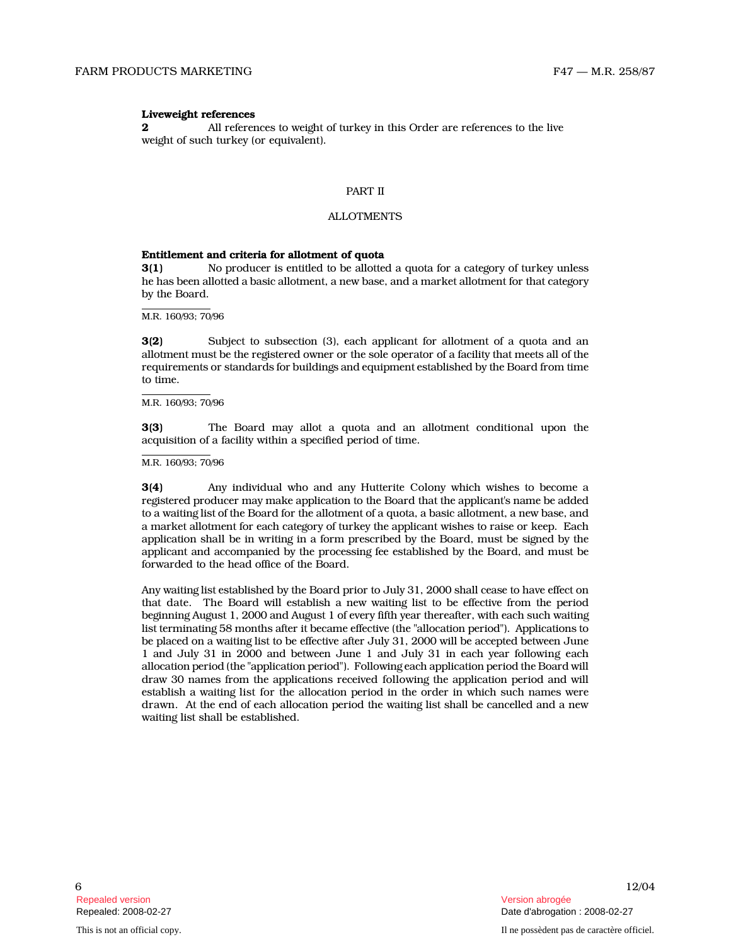#### Liveweight references

2 All references to weight of turkey in this Order are references to the live weight of such turkey (or equivalent).

#### PART II

## ALLOTMENTS

#### Entitlement and criteria for allotment of quota

3(1) No producer is entitled to be allotted a quota for a category of turkey unless he has been allotted a basic allotment, a new base, and a market allotment for that category by the Board.

M.R. 160/93; 70/96

3(2) Subject to subsection (3), each applicant for allotment of a quota and an allotment must be the registered owner or the sole operator of a facility that meets all of the requirements or standards for buildings and equipment established by the Board from time to time.

M.R. 160/93; 70/96

3(3) The Board may allot a quota and an allotment conditional upon the acquisition of a facility within a specified period of time.

M.R. 160/93; 70/96

3(4) Any individual who and any Hutterite Colony which wishes to become a registered producer may make application to the Board that the applicant's name be added to a waiting list of the Board for the allotment of a quota, a basic allotment, a new base, and a market allotment for each category of turkey the applicant wishes to raise or keep. Each application shall be in writing in a form prescribed by the Board, must be signed by the applicant and accompanied by the processing fee established by the Board, and must be forwarded to the head office of the Board.

Any waiting list established by the Board prior to July 31, 2000 shall cease to have effect on that date. The Board will establish a new waiting list to be effective from the period beginning August 1, 2000 and August 1 of every fifth year thereafter, with each such waiting list terminating 58 months after it became effective (the "allocation period"). Applications to be placed on a waiting list to be effective after July 31, 2000 will be accepted between June 1 and July 31 in 2000 and between June 1 and July 31 in each year following each allocation period (the "application period"). Following each application period the Board will draw 30 names from the applications received following the application period and will establish a waiting list for the allocation period in the order in which such names were drawn. At the end of each allocation period the waiting list shall be cancelled and a new waiting list shall be established.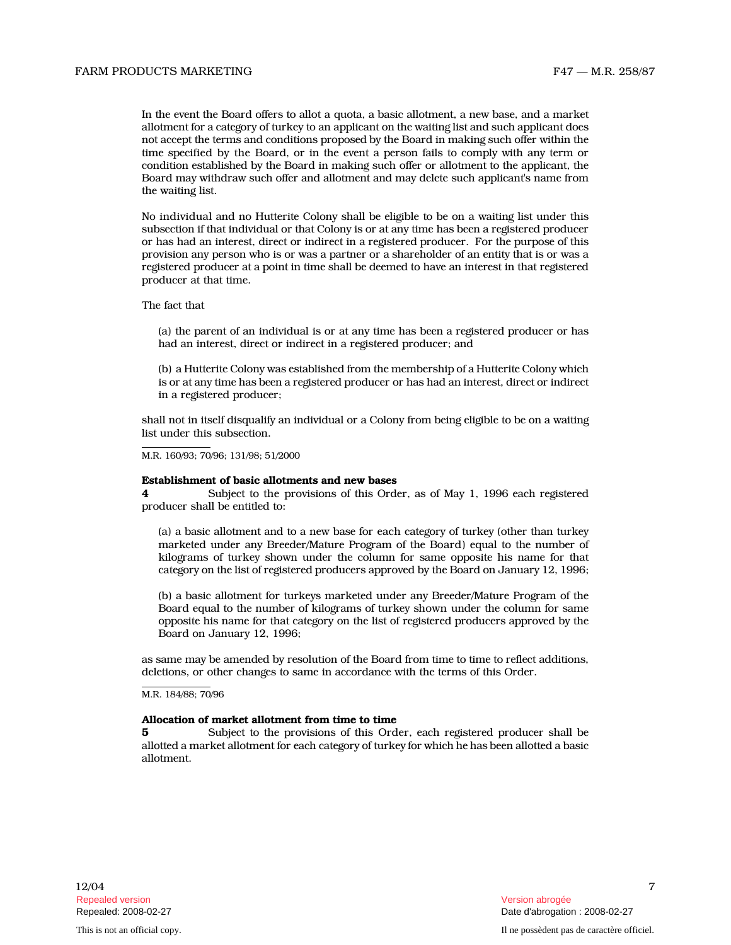In the event the Board offers to allot a quota, a basic allotment, a new base, and a market allotment for a category of turkey to an applicant on the waiting list and such applicant does not accept the terms and conditions proposed by the Board in making such offer within the time specified by the Board, or in the event a person fails to comply with any term or condition established by the Board in making such offer or allotment to the applicant, the Board may withdraw such offer and allotment and may delete such applicant's name from the waiting list.

No individual and no Hutterite Colony shall be eligible to be on a waiting list under this subsection if that individual or that Colony is or at any time has been a registered producer or has had an interest, direct or indirect in a registered producer. For the purpose of this provision any person who is or was a partner or a shareholder of an entity that is or was a registered producer at a point in time shall be deemed to have an interest in that registered producer at that time.

The fact that

(a) the parent of an individual is or at any time has been a registered producer or has had an interest, direct or indirect in a registered producer; and

(b) a Hutterite Colony was established from the membership of a Hutterite Colony which is or at any time has been a registered producer or has had an interest, direct or indirect in a registered producer;

shall not in itself disqualify an individual or a Colony from being eligible to be on a waiting list under this subsection.

M.R. 160/93; 70/96; 131/98; 51/2000

#### Establishment of basic allotments and new bases

4 Subject to the provisions of this Order, as of May 1, 1996 each registered producer shall be entitled to:

(a) a basic allotment and to a new base for each category of turkey (other than turkey marketed under any Breeder/Mature Program of the Board) equal to the number of kilograms of turkey shown under the column for same opposite his name for that category on the list of registered producers approved by the Board on January 12, 1996;

(b) a basic allotment for turkeys marketed under any Breeder/Mature Program of the Board equal to the number of kilograms of turkey shown under the column for same opposite his name for that category on the list of registered producers approved by the Board on January 12, 1996;

as same may be amended by resolution of the Board from time to time to reflect additions, deletions, or other changes to same in accordance with the terms of this Order.

M.R. 184/88; 70/96

#### Allocation of market allotment from time to time

5 Subject to the provisions of this Order, each registered producer shall be allotted a market allotment for each category of turkey for which he has been allotted a basic allotment.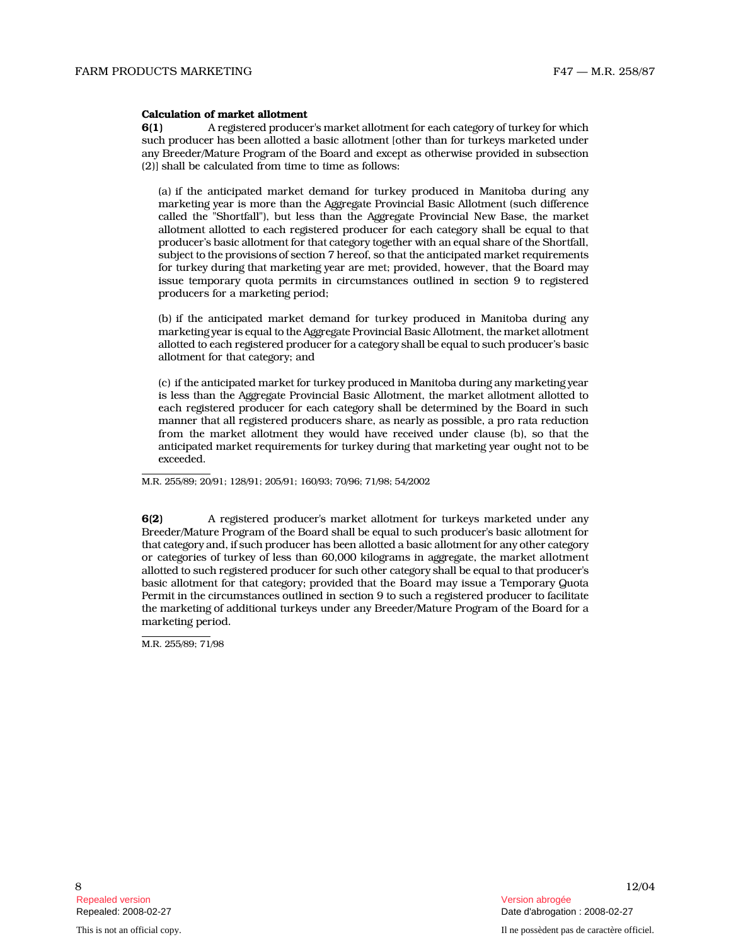#### Calculation of market allotment

6(1) A registered producer's market allotment for each category of turkey for which such producer has been allotted a basic allotment [other than for turkeys marketed under any Breeder/Mature Program of the Board and except as otherwise provided in subsection (2)] shall be calculated from time to time as follows:

(a) if the anticipated market demand for turkey produced in Manitoba during any marketing year is more than the Aggregate Provincial Basic Allotment (such difference called the "Shortfall"), but less than the Aggregate Provincial New Base, the market allotment allotted to each registered producer for each category shall be equal to that producer's basic allotment for that category together with an equal share of the Shortfall, subject to the provisions of section 7 hereof, so that the anticipated market requirements for turkey during that marketing year are met; provided, however, that the Board may issue temporary quota permits in circumstances outlined in section 9 to registered producers for a marketing period;

(b) if the anticipated market demand for turkey produced in Manitoba during any marketing year is equal to the Aggregate Provincial Basic Allotment, the market allotment allotted to each registered producer for a category shall be equal to such producer's basic allotment for that category; and

(c) if the anticipated market for turkey produced in Manitoba during any marketing year is less than the Aggregate Provincial Basic Allotment, the market allotment allotted to each registered producer for each category shall be determined by the Board in such manner that all registered producers share, as nearly as possible, a pro rata reduction from the market allotment they would have received under clause (b), so that the anticipated market requirements for turkey during that marketing year ought not to be exceeded.

M.R. 255/89; 20/91; 128/91; 205/91; 160/93; 70/96; 71/98; 54/2002

6(2) A registered producer's market allotment for turkeys marketed under any Breeder/Mature Program of the Board shall be equal to such producer's basic allotment for that category and, if such producer has been allotted a basic allotment for any other category or categories of turkey of less than 60,000 kilograms in aggregate, the market allotment allotted to such registered producer for such other category shall be equal to that producer's basic allotment for that category; provided that the Board may issue a Temporary Quota Permit in the circumstances outlined in section 9 to such a registered producer to facilitate the marketing of additional turkeys under any Breeder/Mature Program of the Board for a marketing period.

M.R. 255/89: 71/98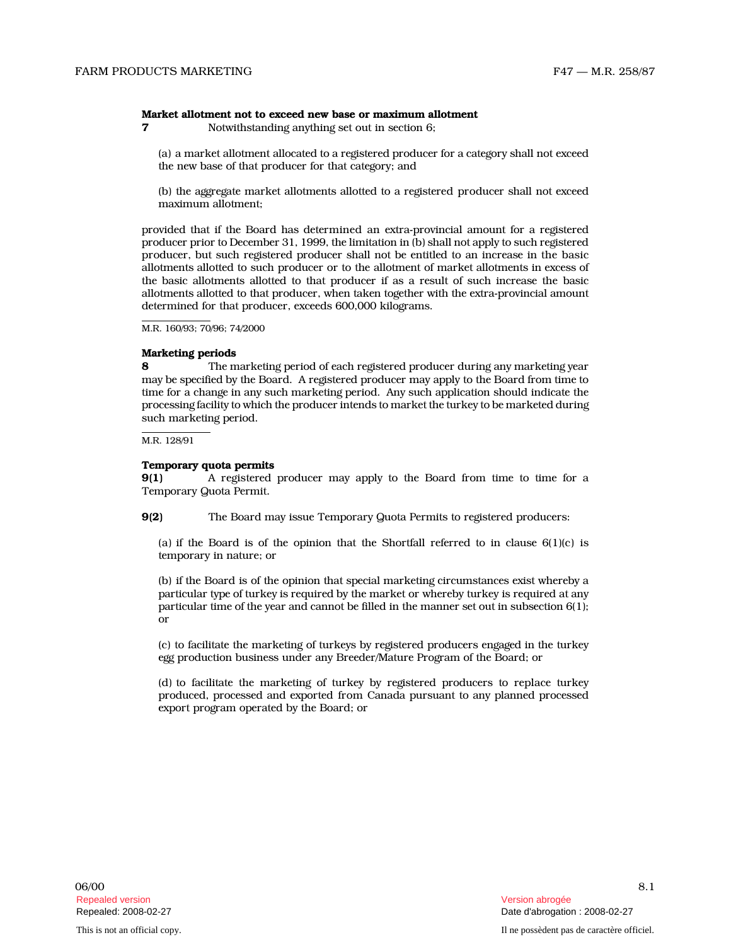#### Market allotment not to exceed new base or maximum allotment

7 Notwithstanding anything set out in section 6;

(a) a market allotment allocated to a registered producer for a category shall not exceed the new base of that producer for that category; an d

(b) the aggregate market allotments allotted to a registered producer shall not exceed maximum allotment;

provided that if the Board has determined an extra-provincial amount for a registered producer prior to December 31, 1999, the limitation in (b) shall not apply to such registered producer, but such registered producer shall not be entitled to an increase in the basic allotments allotted to such producer or to the allotment of market allotments in excess of the basic allotments allotted to that producer if as a result of such increase the basic allotments allotted to that producer, when taken together with the extra-provincial amount determined for that producer, exceeds 600,000 kilograms.

M.R. 160/93; 70/96; 74/2000

## Marketing periods

8 The marketing period of each registered producer during any marketing year may be specified by the Board. A registered producer may apply to the Board from time to time for a change in any such marketing period. Any such application should indicate the processing facility to which the producer intends to market the turkey to be marketed during such marketing period.

M.R. 128/91

#### Temporary quota permits

9(1) A registered producer may apply to the Board from time to time for a Temporary Quota Permit.

9(2) The Board may issue Temporary Quota Permits to registered producers:

(a) if the Board is of the opinion that the Shortfall referred to in clause  $6(1)(c)$  is temporary in nature; or

(b) if the Board is of the opinion that special marketing circumstances exist whereby a particular type of turkey is required by the market or whereby turkey is required at any particular time of the year and cannot be filled in the manner set out in subsection 6(1); or

(c) to facilitate the marketing of turkeys by registered producers engaged in the turkey egg production business under any Breeder/Mature Program of the Board; or

(d) to facilitate the marketing of turkey by registered producers to replace turkey produced, processed and exported from Canada pursuant to any planned processed export program operated by the Board; or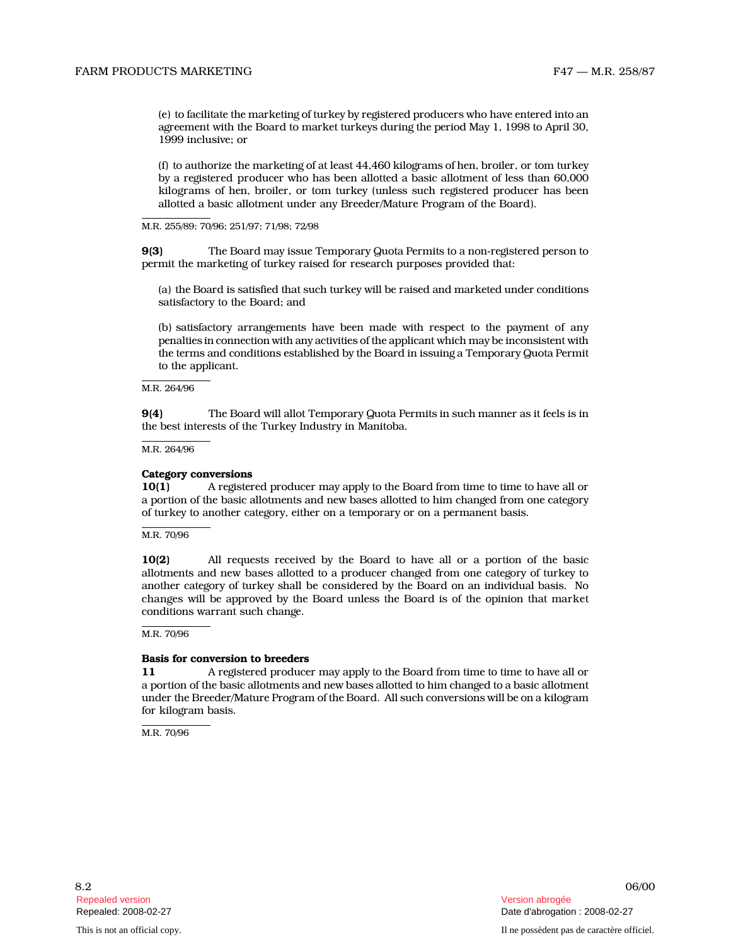(e) to facilitate the marketing of turkey by registered producers who have entered into an agreement with the Board to market turkeys during the period May 1, 1998 to April 30, 1999 inclusive; or

(f) to authorize the marketing of at least 44,460 kilograms of hen, broiler, or tom turkey by a registered producer who has been allotted a basic allotment of less than 60,000 kilograms of hen, broiler, or tom turkey (unless such registered producer has been allotted a basic allotment under any Breeder/Mature Program of the Board).

M.R. 255/89; 70/96; 251/97; 71/98; 72/98

9(3) The Board may issue Temporary Quota Permits to a non-registered person to permit the marketing of turkey raised for research purposes provided that:

(a) the Board is satisfied that such turkey will be raised and marketed under conditions satisfactory to the Board; and

(b) satisfactory arrangements have been made with respect to the payment of any penalties in connection with any activities of the applicant which may be inconsistent with the terms and conditions established by the Board in issuing a Temporary Quota Permit to the applicant.

M.R. 264/96

9(4) The Board will allot Temporary Quota Permits in such manner as it feels is in the best interests of the Turkey Industry in Manitoba.

M.R. 264/96

#### Category conversions

10(1) A registered producer may apply to the Board from time to time to have all or a portion of the basic allotments and new bases allotted to him changed from one category of turkey to another category, either on a temporary or on a permanent basis.

M.R. 70/96

10(2) All requests received by the Board to have all or a portion of the basic allotments and new bases allotted to a producer changed from one category of turkey to another category of turkey shall be considered by the Board on an individual basis. No changes will be approved by the Board unless the Board is of the opinion that market conditions warrant such change.

#### M.R. 70/96

#### Basis for conversion to breeders

11 A registered producer may apply to the Board from time to time to have all or a portion of the basic allotments and new bases allotted to him changed to a basic allotment under the Breeder/Mature Program of the Board. All such conversions will be on a kilogram for kilogram basis.

M.R. 70/96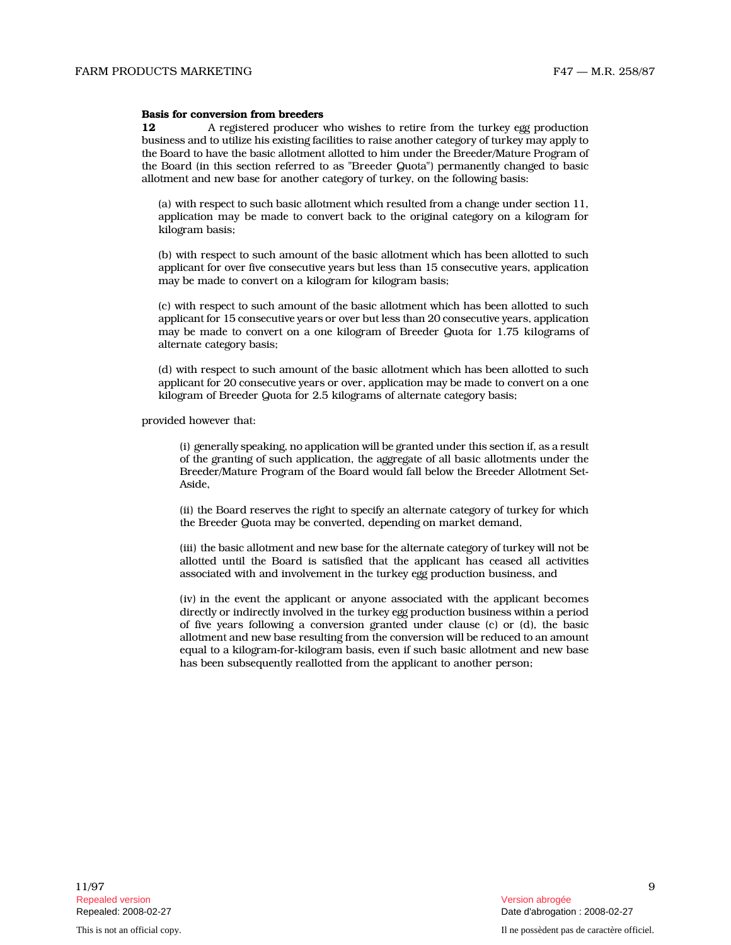#### Basis for conversion from breeders

12 A registered producer who wishes to retire from the turkey egg production business and to utilize his existing facilities to raise another category of turkey may apply to the Board to have the basic allotment allotted to him under the Breeder/Mature Program of the Board (in this section referred to as "Breeder Quota") permanently changed to basic allotment and new base for another category of turkey, on the following basis:

(a) with respect to such basic allotment which resulted from a change under section 11, application may be made to convert back to the original category on a kilogram for kilogram basis;

(b) with respect to such amount of the basic allotment which has been allotted to such applicant for over five consecutive years but less than 15 consecutive years, application may be made to convert on a kilogram for kilogram basis;

(c) with respect to such amount of the basic allotment which has been allotted to such applicant for 15 consecutive years or over but less than 20 consecutive years, application may be made to convert on a one kilogram of Breeder Quota for 1.75 kilograms of alternate category basis;

(d) with respect to such amount of the basic allotment which has been allotted to such applicant for 20 consecutive years or over, application may be made to convert on a one kilogram of Breeder Quota for 2.5 kilograms of alternate category basis;

provided however that:

(i) generally speaking, no application will be granted under this section if, as a result of the granting of such application, the aggregate of all basic allotments under the Breeder/Mature Program of the Board would fall below the Breeder Allotment Set-Aside,

(ii) the Board reserves the right to specify an alternate category of turkey for which the Breeder Quota may be converted, depending on market demand,

(iii) the basic allotment and new base for the alternate category of turkey will not be allotted until the Board is satisfied that the applicant has ceased all activities associated with and involvement in the turkey egg production business, and

(iv) in the event the applicant or anyone associated with the applicant becomes directly or indirectly involved in the turkey egg production business within a period of five years following a conversion granted under clause (c) or (d), the basic allotment and new base resulting from the conversion will be reduced to an amount equal to a kilogram-for-kilogram basis, even if such basic allotment and new base has been subsequently reallotted from the applicant to another person;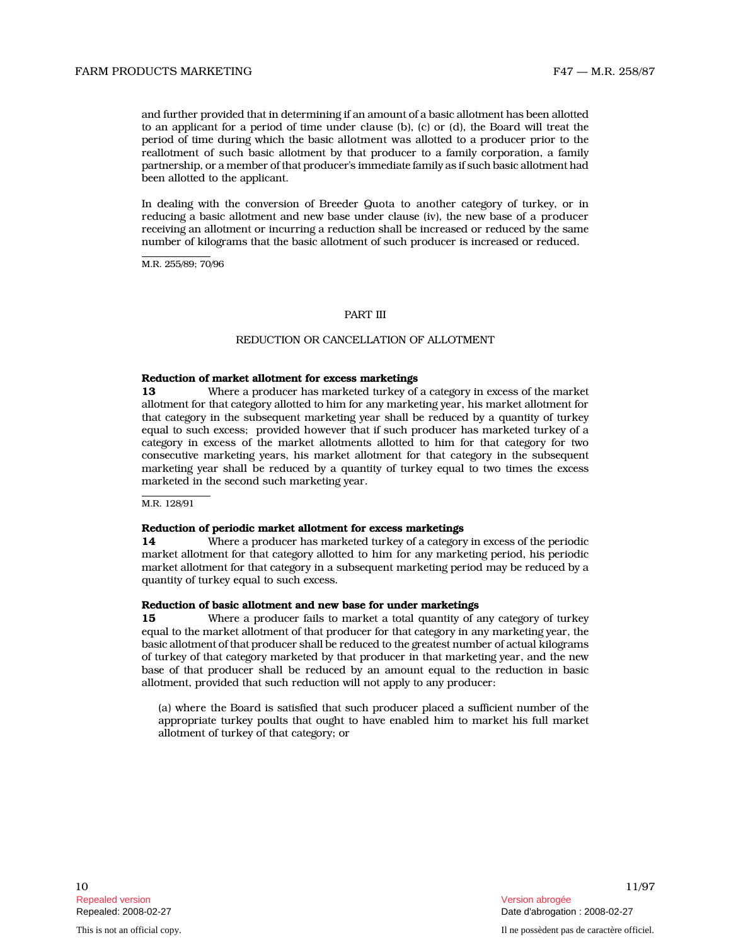and further provided that in determining if an amount of a basic allotment has been allotted to an applicant for a period of time under clause (b), (c) or (d), the Board will treat the period of time during which the basic allotment was allotted to a producer prior to the reallotment of such basic allotment by that producer to a family corporation, a family partnership, or a member of that producer's immediate family as if such basic allotment had been allotted to the applicant.

In dealing with the conversion of Breeder Quota to another category of turkey, or in reducing a basic allotment and new base under clause (iv), the new base of a producer receiving an allotment or incurring a reduction shall be increased or reduced by the same number of kilograms that the basic allotment of such producer is increased or reduced.

M.R. 255/89; 70/96

#### PART III

#### REDUCTION OR CANCELLATION OF ALLOTMENT

#### Reduction of market allotment for excess marketings

13 Where a producer has marketed turkey of a category in excess of the market allotment for that category allotted to him for any marketing year, his market allotment for that category in the subsequent marketing year shall be reduced by a quantity of turkey equal to such excess; provided however that if such producer has marketed turkey of a category in excess of the market allotments allotted to him for that category for two consecutive marketing years, his market allotment for that category in the subsequent marketing year shall be reduced by a quantity of turkey equal to two times the excess marketed in the second such marketing year.

M.R. 128/91

#### Reduction of periodic market allotment for excess marketings

14 Where a producer has marketed turkey of a category in excess of the periodic market allotment for that category allotted to him for any marketing period, his periodic market allotment for that category in a subsequent marketing period may be reduced by a quantity of turkey equal to such excess.

#### Reduction of basic allotment and new base for under marketings

15 Where a producer fails to market a total quantity of any category of turkey equal to the market allotment of that producer for that category in any marketing year, the basic allotment of that producer shall be reduced to the greatest number of actual kilograms of turkey of that category marketed by that producer in that marketing year, and the new base of that producer shall be reduced by an amount equal to the reduction in basic allotment, provided that such reduction will not apply to any producer:

(a) where the Board is satisfied that such producer placed a sufficient number of the appropriate turkey poults that ought to have enabled him to market his full market allotment of turkey of that category; or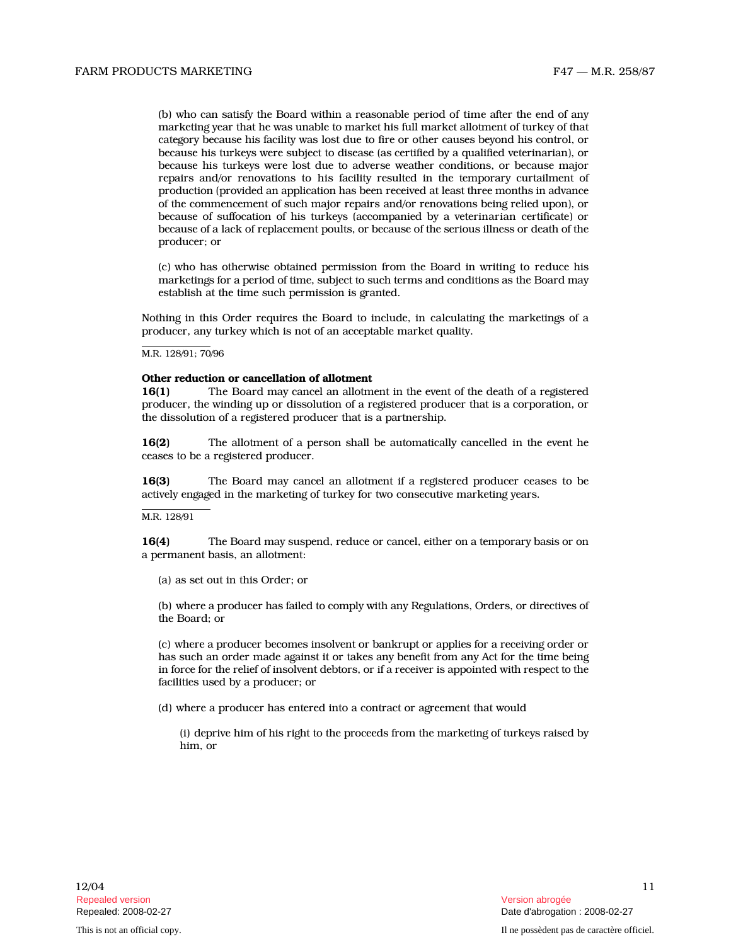(b) who can satisfy the Board within a reasonable period of time after the end of any marketing year that he was unable to market his full market allotment of turkey of that category because his facility was lost due to fire or other causes beyond his control, or because his turkeys were subject to disease (as certified by a qualified veterinarian), or because his turkeys were lost due to adverse weather conditions, or because major repairs and/or renovations to his facility resulted in the temporary curtailment of production (provided an application has been received at least three months in advance of the commencement of such major repairs and/or renovations being relied upon), or because of suffocation of his turkeys (accompanied by a veterinarian certificate) or because of a lack of replacement poults, or because of the serious illness or death of the producer; or

(c) who has otherwise obtained permission from the Board in writing to reduce his marketings for a period of time, subject to such terms and conditions as the Board may establish at the time such permission is granted.

Nothing in this Order requires the Board to include, in calculating the marketings of a producer, any turkey which is not of an acceptable market quality.

M.R. 128/91; 70/96

## Other reduction or cancellation of allotment

16(1) The Board may cancel an allotment in the event of the death of a registered producer, the winding up or dissolution of a registered producer that is a corporation, or the dissolution of a registered producer that is a partnership.

16(2) The allotment of a person shall be automatically cancelled in the event he ceases to be a registered producer.

16(3) The Board may cancel an allotment if a registered producer ceases to be actively engaged in the marketing of turkey for two consecutive marketing years.

#### M.R. 128/91

16(4) The Board may suspend, reduce or cancel, either on a temporary basis or on a permanent basis, an allotment:

(a) as set out in this Order; or

(b) where a producer has failed to comply with any Regulations, Orders, or directives of the Board; or

(c) where a producer becomes insolvent or bankrupt or applies for a receiving order or has such an order made against it or takes any benefit from any Act for the time being in force for the relief of insolvent debtors, or if a receiver is appointed with respect to the facilities used by a producer; or

(d) where a producer has entered into a contract or agreement that would

(i) deprive him of his right to the proceeds from the marketing of turkeys raised by him, or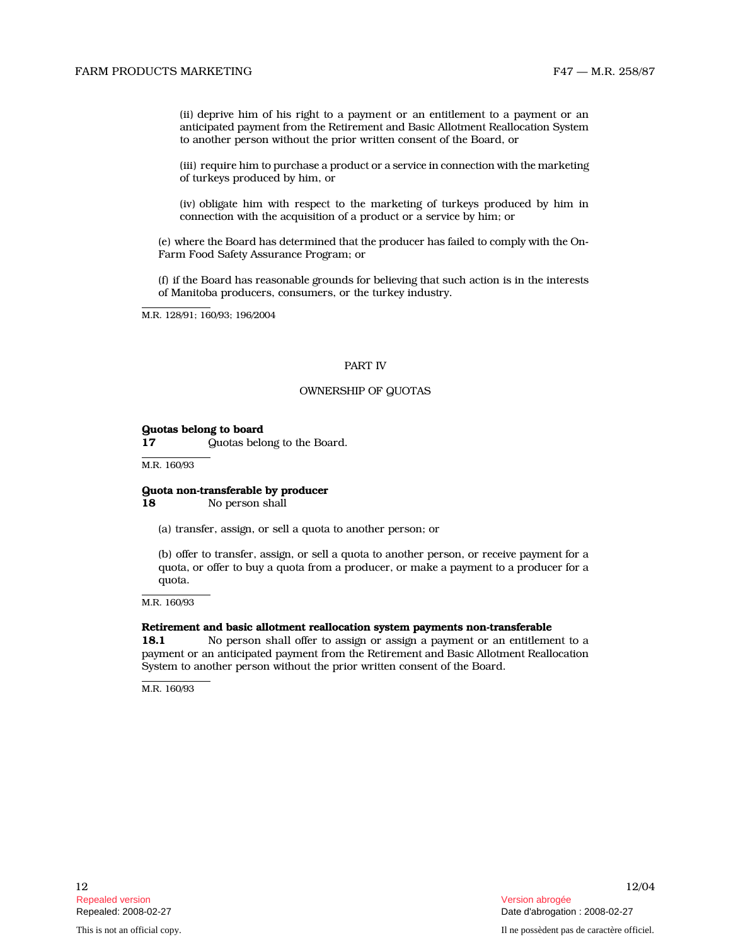# FARM PRODUCTS MARKETING FARM FAT THE SERVICE OF THE SERVICE OF THE SERVICE OF THE SERVICE OF THE SERVICE OF THE SERVICE OF THE SERVICE OF THE SERVICE OF THE SERVICE OF THE SERVICE OF THE SERVICE OF THE SERVICE OF THE SERVI

(ii) deprive him of his right to a payment or an entitlement to a payment or an anticipated payment from the Retirement and Basic Allotment Reallocation System to another person without the prior written consent of the Board, or

(iii) require him to purchase a product or a service in connection with the marketing of turkeys produced by him, or

(iv) obligate him with respect to the marketing of turkeys produced by him in connection with the acquisition of a product or a service by him; or

(e) where the Board has determined that the producer has failed to comply with the On-Farm Food Safety Assurance Program; or

(f) if the Board has reasonable grounds for believing that such action is in the interests of Manitoba producers, consumers, or the turkey industry.

M.R. 128/91; 160/93; 196/2004

#### PART IV

#### OWNERSHIP OF QUOTAS

#### Quotas belong to board

17 **Quotas belong to the Board.** 

M.R. 160/93

## Quota non-transferable by producer

18 No person shall

(a) transfer, assign, or sell a quota to another person; or

(b) offer to transfer, assign, or sell a quota to another person, or receive payment for a quota, or offer to buy a quota from a producer, or make a payment to a producer for a quota.

M.R. 160/93

#### Retirement and basic allotment reallocation system payments non-transferable

18.1 No person shall offer to assign or assign a payment or an entitlement to a payment or an anticipated payment from the Retirement and Basic Allotment Reallocation System to another person without the prior written consent of the Board.

M.R. 160/93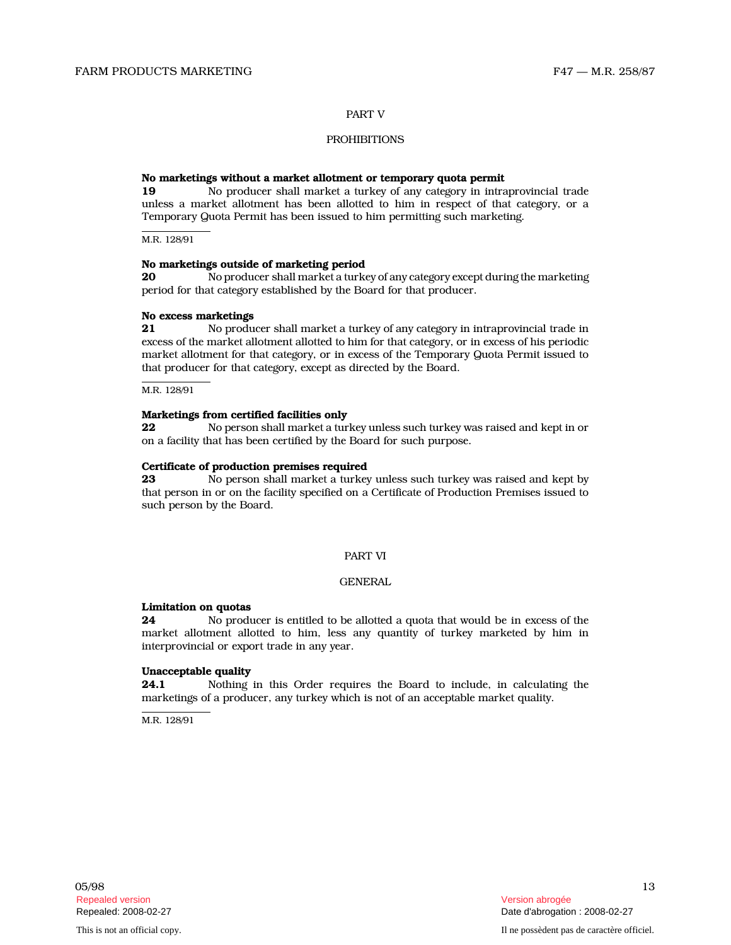## PART V

# **PROHIBITIONS**

#### No marketings without a market allotment or temporary quota permit

19 No producer shall market a turkey of any category in intraprovincial trade unless a market allotment has been allotted to him in respect of that category, or a Temporary Quota Permit has been issued to him permitting such marketing.

M.R. 128/91

#### No marketings outside of marketing period

20 No producer shall market a turkey of any category except during the marketing period for that category established by the Board for that producer.

#### No excess marketings

21 No producer shall market a turkey of any category in intraprovincial trade in excess of the market allotment allotted to him for that category, or in excess of his periodic market allotment for that category, or in excess of the Temporary Quota Permit issued to that producer for that category, except as directed by the Board.

M.R. 128/91

#### Marketings from certified facilities only

22 No person shall market a turkey unless such turkey was raised and kept in or on a facility that has been certified by the Board for such purpose.

#### Certificate of production premises required

23 No person shall market a turkey unless such turkey was raised and kept by that person in or on the facility specified on a Certificate of Production Premises issued to such person by the Board.

#### PART VI

#### GENERAL

#### Limitation on quotas

24 No producer is entitled to be allotted a quota that would be in excess of the market allotment allotted to him, less any quantity of turkey marketed by him in interprovincial or export trade in any year.

# Unacceptable quality

24.1 Nothing in this Order requires the Board to include, in calculating the marketings of a producer, any turkey which is not of an acceptable market quality.

M.R. 128/91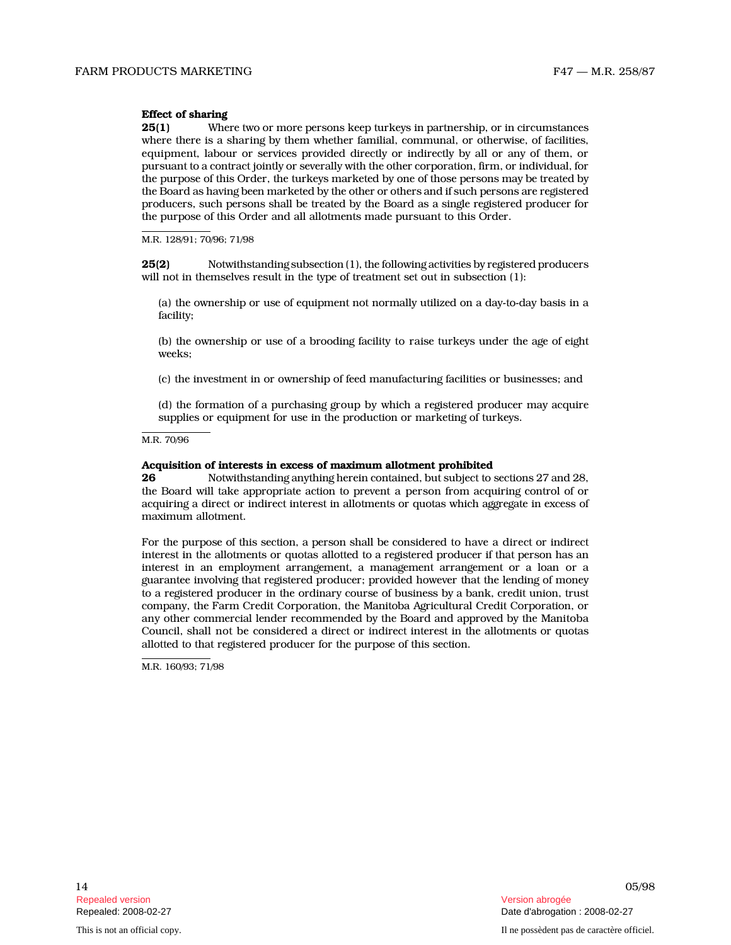# Effect of sharing

**25(1)** Where two or more persons keep turkeys in partnership, or in circumstances where there is a sharing by them whether familial, communal, or otherwise, of facilities, equipment, labour or services provided directly or indirectly by all or any of them, or pursuant to a contract jointly or severally with the other corporation, firm, or individual, for the purpose of this Order, the turkeys marketed by one of those persons may be treated by the Board as having been marketed by the other or others and if such persons are registered producers, such persons shall be treated by the Board as a single registered producer for the purpose of this Order and all allotments made pursuant to this Order.

M.R. 128/91; 70/96; 71/98

25(2) Notwithstanding subsection (1), the following activities by registered producers will not in themselves result in the type of treatment set out in subsection (1):

(a) the ownership or use of equipment not normally utilized on a day-to-day basis in a facility;

(b) the ownership or use of a brooding facility to raise turkeys under the age of eight weeks;

(c) the investment in or ownership of feed manufacturing facilities or businesses; and

(d) the formation of a purchasing group by which a registered producer may acquire supplies or equipment for use in the production or marketing of turkeys.

M.R. 70/96

#### Acquisition of interests in excess of maximum allotment prohibited

26 Notwithstanding anything herein contained, but subject to sections 27 and 28, the Board will take appropriate action to prevent a person from acquiring control of or acquiring a direct or indirect interest in allotments or quotas which aggregate in excess of maximum allotment.

For the purpose of this section, a person shall be considered to have a direct or indirect interest in the allotments or quotas allotted to a registered producer if that person has an interest in an employment arrangement, a management arrangement or a loan or a guarantee involving that registered producer; provided however that the lending of money to a registered producer in the ordinary course of business by a bank, credit union, trust company, the Farm Credit Corporation, the Manitoba Agricultural Credit Corporation, or any other commercial lender recommended by the Board and approved by the Manitoba Council, shall not be considered a direct or indirect interest in the allotments or quotas allotted to that registered producer for the purpose of this section.

M.R. 160/93; 71/98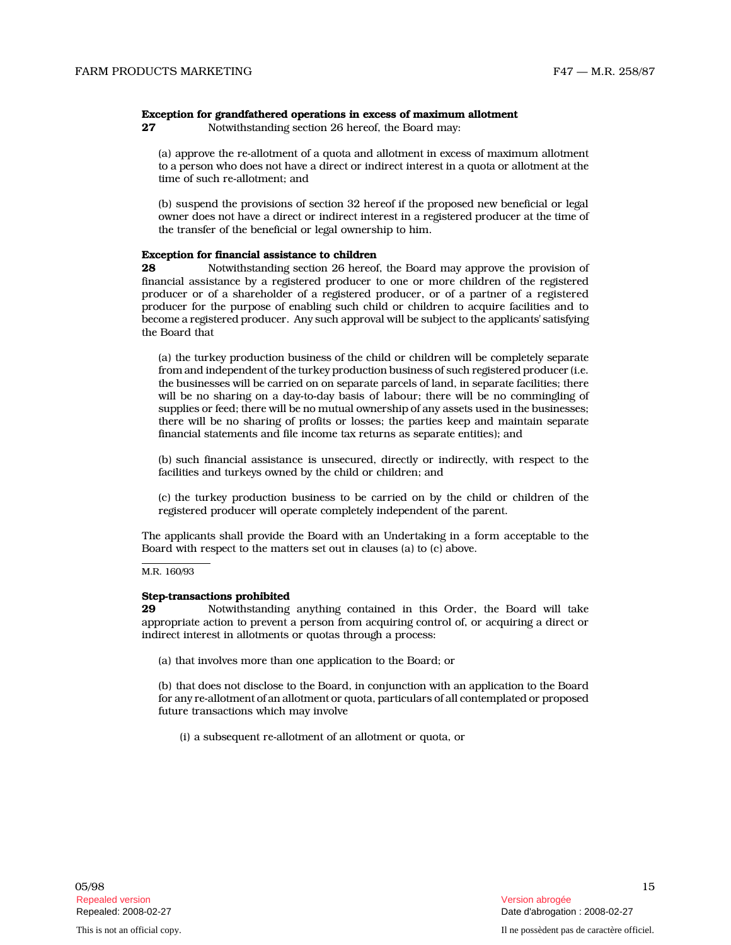#### Exception for grandfathered operations in excess of maximum allotment

27 Notwithstanding section 26 hereof, the Board may:

(a) approve the re-allotment of a quota and allotment in excess of maximum allotment to a person who does not have a direct or indirect interest in a quota or allotment at the time of such re-allotment; and

(b) suspend the provisions of section 32 hereof if the proposed new beneficial or legal owner does not have a direct or indirect interest in a registered producer at the time of the transfer of the beneficial or legal ownership to him.

# Exception for financial assistance to children

28 Notwithstanding section 26 hereof, the Board may approve the provision of financial assistance by a registered producer to one or more children of the registered producer or of a shareholder of a registered producer, or of a partner of a registered producer for the purpose of enabling such child or children to acquire facilities and to become a registered producer. Any such approval will be subject to the applicants' satisfying the Board that

(a) the turkey production business of the child or children will be completely separate from and independent of the turkey production business of such registered producer (i.e. the businesses will be carried on on separate parcels of land, in separate facilities; there will be no sharing on a day-to-day basis of labour; there will be no commingling of supplies or feed; there will be no mutual ownership of any assets used in the businesses; there will be no sharing of profits or losses; the parties keep and maintain separate financial statements and file income tax returns as separate entities); and

(b) such financial assistance is unsecured, directly or indirectly, with respect to the facilities and turkeys owned by the child or children; and

(c) the turkey production business to be carried on by the child or children of the registered producer will operate completely independent of the parent.

The applicants shall provide the Board with an Undertaking in a form acceptable to the Board with respect to the matters set out in clauses (a) to (c) above.

M.R. 160/93

# Step-transactions prohibited<br>29 Wotwithstanding

Notwithstanding anything contained in this Order, the Board will take appropriate action to prevent a person from acquiring control of, or acquiring a direct or indirect interest in allotments or quotas through a process:

(a) that involves more than one application to the Board; or

(b) that does not disclose to the Board, in conjunction with an application to the Board for any re-allotment of an allotment or quota, particulars of all contemplated or proposed future transactions which may involve

(i) a subsequent re-allotment of an allotment or quota, or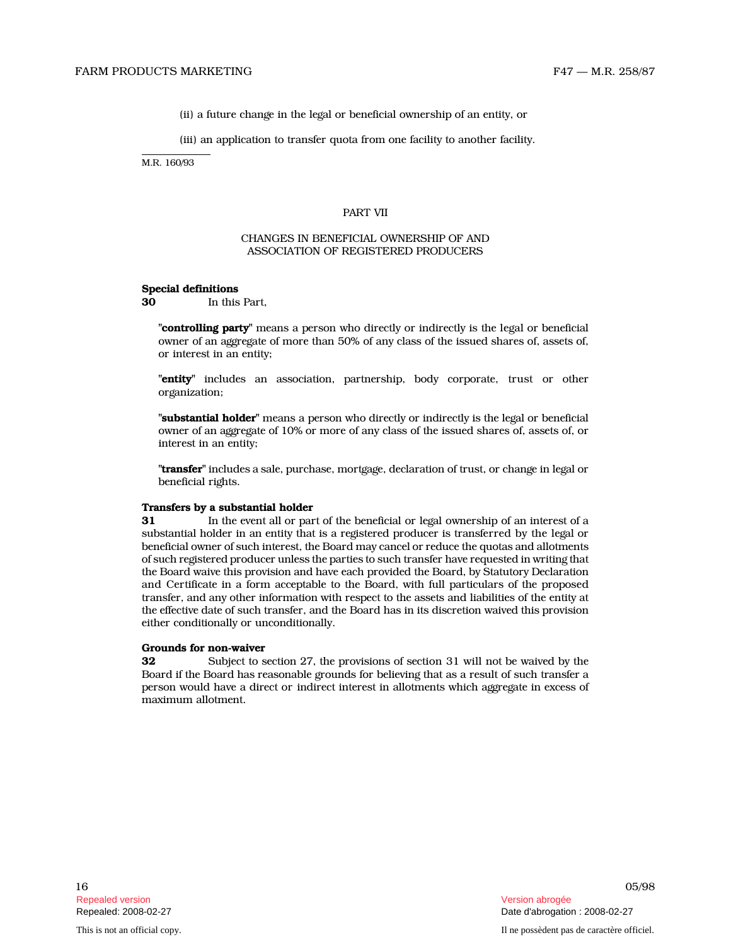(ii) a future change in the legal or beneficial ownership of an entity, or

(iii) an application to transfer quota from one facility to another facility.

M.R. 160/93

#### PART VII

## CHANGES IN BENEFICIAL OWNERSHIP OF AND ASSOCIATION OF REGISTERED PRODUCERS

#### Special definitions

30 In this Part,

"controlling party" means a person who directly or indirectly is the legal or beneficial owner of an aggregate of more than 50% of any class of the issued shares of, assets of, or interest in an entity;

"entity" includes an association, partnership, body corporate, trust or other organization;

"substantial holder" means a person who directly or indirectly is the legal or beneficial owner of an aggregate of 10% or more of any class of the issued shares of, assets of, or interest in an entity;

"transfer" includes a sale, purchase, mortgage, declaration of trust, or change in legal or beneficial rights.

#### Transfers by a substantial holder

31 In the event all or part of the beneficial or legal ownership of an interest of a substantial holder in an entity that is a registered producer is transferred by the legal or beneficial owner of such interest, the Board may cancel or reduce the quotas and allotments of such registered producer unless the parties to such transfer have requested in writing that the Board waive this provision and have each provided the Board, by Statutory Declaration and Certificate in a form acceptable to the Board, with full particulars of the proposed transfer, and any other information with respect to the assets and liabilities of the entity at the effective date of such transfer, and the Board has in its discretion waived this provision either conditionally or unconditionally.

## Grounds for non-waiver

32 Subject to section 27, the provisions of section 31 will not be waived by the Board if the Board has reasonable grounds for believing that as a result of such transfer a person would have a direct or indirect interest in allotments which aggregate in excess of maximum allotment.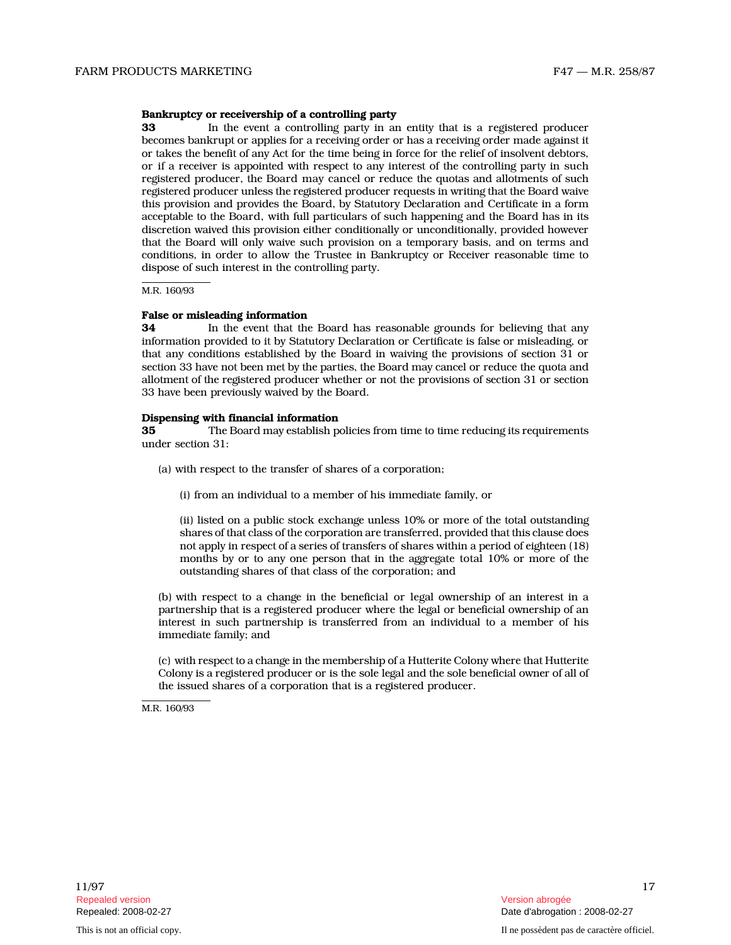# Bankruptcy or receivership of a controlling party

**33** In the event a controlling party in an entity that is a registered producer becomes bankrupt or applies for a receiving order or has a receiving order made against it or takes the benefit of any Act for the time being in force for the relief of insolvent debtors, or if a receiver is appointed with respect to any interest of the controlling party in such registered producer, the Board may cancel or reduce the quotas and allotments of such registered producer unless the registered producer requests in writing that the Board waive this provision and provides the Board, by Statutory Declaration and Certificate in a form acceptable to the Board, with full particulars of such happening and the Board has in its discretion waived this provision either conditionally or unconditionally, provided however that the Board will only waive such provision on a temporary basis, and on terms and conditions, in order to allow the Trustee in Bankruptcy or Receiver reasonable time to dispose of such interest in the controlling party.

M.R. 160/93

### False or misleading information

34 In the event that the Board has reasonable grounds for believing that any information provided to it by Statutory Declaration or Certificate is false or misleading, or that any conditions established by the Board in waiving the provisions of section 31 or section 33 have not been met by the parties, the Board may cancel or reduce the quota and allotment of the registered producer whether or not the provisions of section 31 or section 33 have been previously waived by the Board.

#### Dispensing with financial information

35 The Board may establish policies from time to time reducing its requirements under section 31:

- (a) with respect to the transfer of shares of a corporation;
	- (i) from an individual to a member of his immediate family, or

(ii) listed on a public stock exchange unless 10% or more of the total outstanding shares of that class of the corporation are transferred, provided that this clause does not apply in respect of a series of transfers of shares within a period of eighteen (18) months by or to any one person that in the aggregate total 10% or more of the outstanding shares of that class of the corporation; and

(b) with respect to a change in the beneficial or legal ownership of an interest in a partnership that is a registered producer where the legal or beneficial ownership of an interest in such partnership is transferred from an individual to a member of his immediate family; and

(c) with respect to a change in the membership of a Hutterite Colony where that Hutterite Colony is a registered producer or is the sole legal and the sole beneficial owner of all of the issued shares of a corporation that is a registered producer.

M.R. 160/93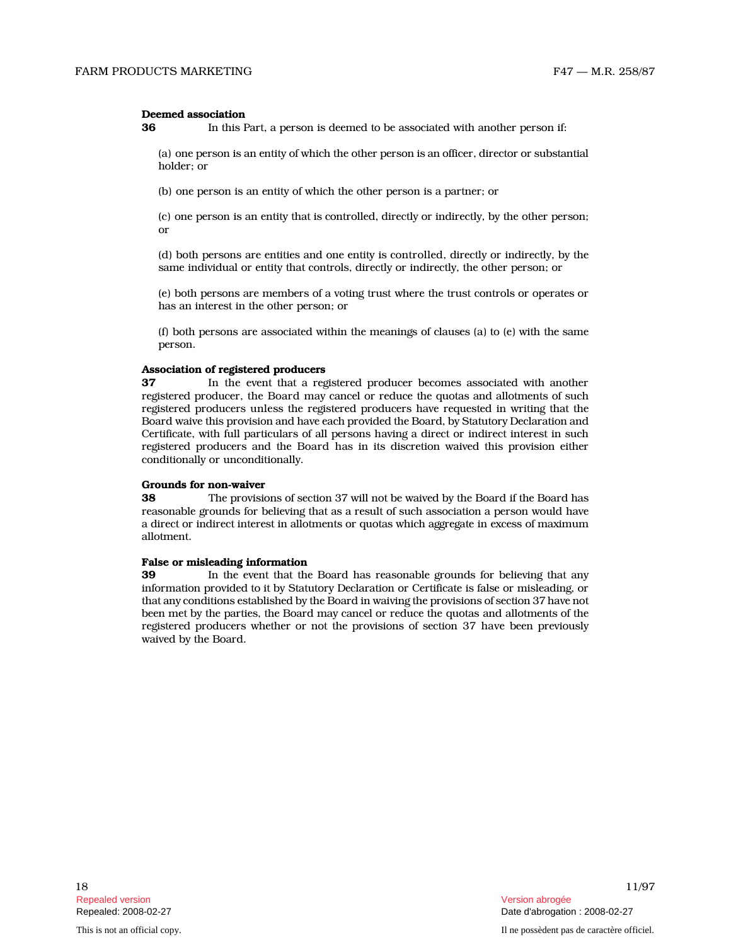#### Deemed association

**36** In this Part, a person is deemed to be associated with another person if:

(a) one person is an entity of which the other person is an officer, director or substantial holder; or

(b) one person is an entity of which the other person is a partner; or

(c) one person is an entity that is controlled, directly or indirectly, by the other person; or

(d) both persons are entities and one entity is controlled, directly or indirectly, by the same individual or entity that controls, directly or indirectly, the other person; or

(e) both persons are members of a voting trust where the trust controls or operates or has an interest in the other person; or

(f) both persons are associated within the meanings of clauses (a) to (e) with the same person.

# Association of registered producers

37 In the event that a registered producer becomes associated with another registered producer, the Board may cancel or reduce the quotas and allotments of such registered producers unless the registered producers have requested in writing that the Board waive this provision and have each provided the Board, by Statutory Declaration and Certificate, with full particulars of all persons having a direct or indirect interest in such registered producers and the Board has in its discretion waived this provision either conditionally or unconditionally.

#### Grounds for non-waiver

38 The provisions of section 37 will not be waived by the Board if the Board has reasonable grounds for believing that as a result of such association a person would have a direct or indirect interest in allotments or quotas which aggregate in excess of maximum allotment.

# False or misleading information<br>39 In the event that the

In the event that the Board has reasonable grounds for believing that any information provided to it by Statutory Declaration or Certificate is false or misleading, or that any conditions established by the Board in waiving the provisions of section 37 have not been met by the parties, the Board may cancel or reduce the quotas and allotments of the registered producers whether or not the provisions of section 37 have been previously waived by the Board.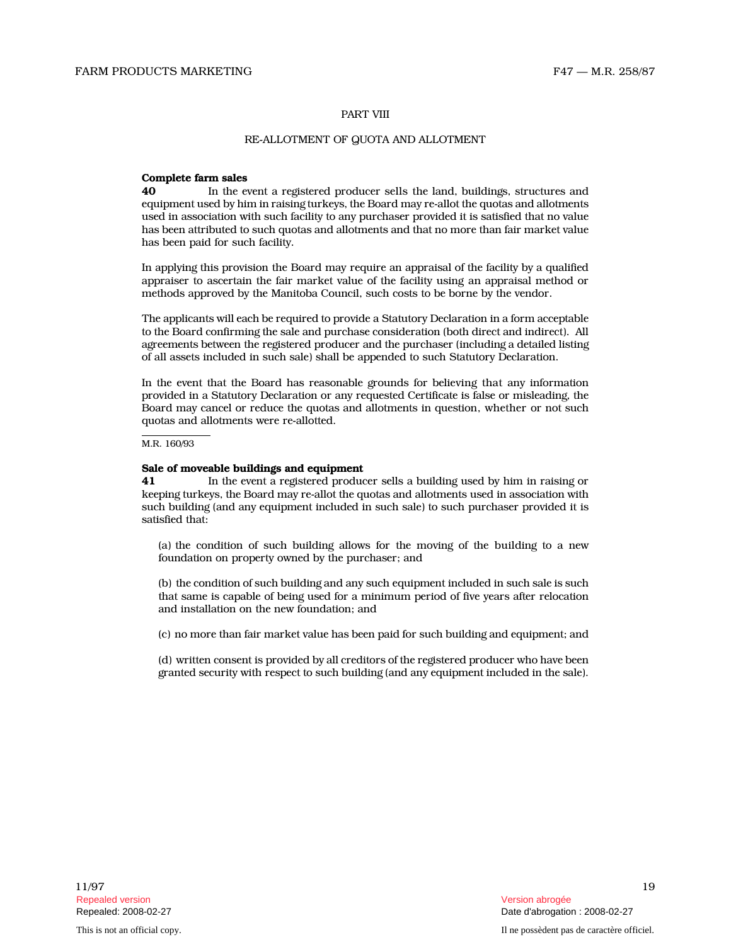#### PART VIII

# RE-ALLOTMENT OF QUOTA AND ALLOTMENT

#### Complete farm sales

40 In the event a registered producer sells the land, buildings, structures and equipment used by him in raising turkeys, the Board may re-allot the quotas and allotments used in association with such facility to any purchaser provided it is satisfied that no value has been attributed to such quotas and allotments and that no more than fair market value has been paid for such facility.

In applying this provision the Board may require an appraisal of the facility by a qualified appraiser to ascertain the fair market value of the facility using an appraisal method or methods approved by the Manitoba Council, such costs to be borne by the vendor.

The applicants will each be required to provide a Statutory Declaration in a form acceptable to the Board confirming the sale and purchase consideration (both direct and indirect). All agreements between the registered producer and the purchaser (including a detailed listing of all assets included in such sale) shall be appended to such Statutory Declaration.

In the event that the Board has reasonable grounds for believing that any information provided in a Statutory Declaration or any requested Certificate is false or misleading, the Board may cancel or reduce the quotas and allotments in question, whether or not such quotas and allotments were re-allotted.

#### M.R. 160/93

#### Sale of moveable buildings and equipment

41 In the event a registered producer sells a building used by him in raising or keeping turkeys, the Board may re-allot the quotas and allotments used in association with such building (and any equipment included in such sale) to such purchaser provided it is satisfied that:

(a) the condition of such building allows for the moving of the building to a new foundation on property owned by the purchaser; and

(b) the condition of such building and any such equipment included in such sale is such that same is capable of being used for a minimum period of five years after relocation and installation on the new foundation; and

(c) no more than fair market value has been paid for such building and equipment; and

(d) written consent is provided by all creditors of the registered producer who have been granted security with respect to such building (and any equipment included in the sale).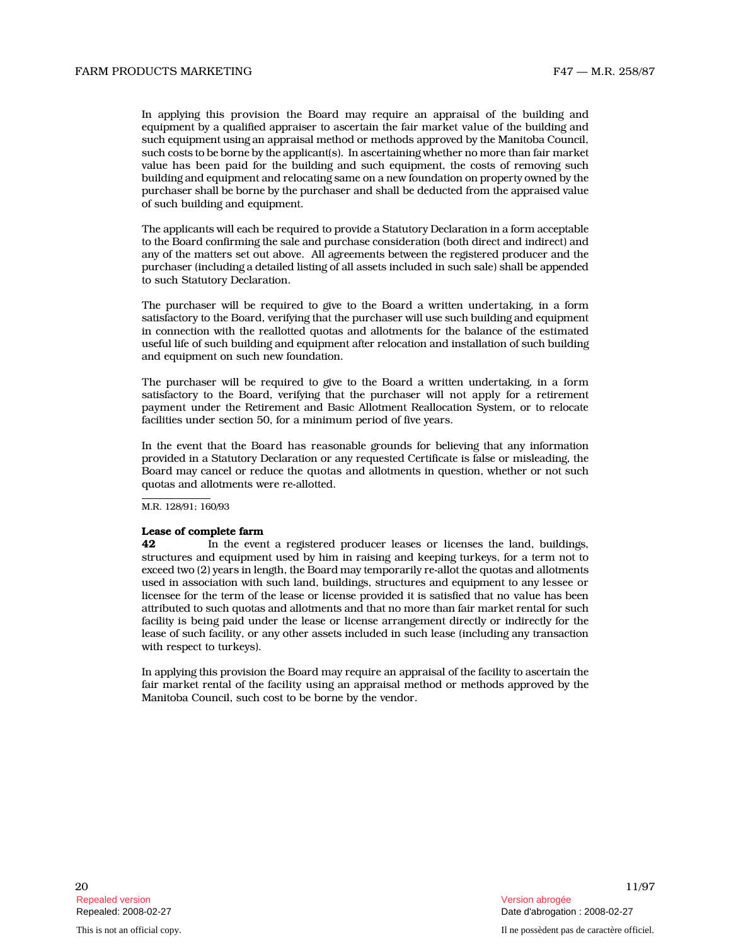In applying this provision the Board may require an appraisal of the building and equipment by a qualified appraiser to ascertain the fair market value of the building and such equipment using an appraisal method or methods approved by the Manitoba Council, such costs to be borne by the applicant(s). In ascertaining whether no more than fair market value has been paid for the building and such equipment, the costs of removing such building and equipment and relocating same on a new foundation on property owned by the purchaser shall be borne by the purchaser and shall be deducted from the appraised value of such building and equipment.

The applicants will each be required to provide a Statutory Declaration in a form acceptable to the Board confirming the sale and purchase consideration (both direct and indirect) and any of the matters set out above. All agreements between the registered producer and the purchaser (including a detailed listing of all assets included in such sale) shall be appended to such Statutory Declaration.

The purchaser will be required to give to the Board a written undertaking, in a form satisfactory to the Board, verifying that the purchaser will use such building and equipment in connection with the reallotted quotas and allotments for the balance of the estimated useful life of such building and equipment after relocation and installation of such building and equipment on such new foundation.

The purchaser will be required to give to the Board a written undertaking, in a form satisfactory to the Board, verifying that the purchaser will not apply for a retirement payment under the Retirement and Basic Allotment Reallocation System, or to relocate facilities under section 50, for a minimum period of five years.

In the event that the Board has reasonable grounds for believing that any information provided in a Statutory Declaration or any requested Certificate is false or misleading, the Board may cancel or reduce the quotas and allotments in question, whether or not such quotas and allotments were re-allotted.

M.R. 128/91; 160/93

#### Lease of complete farm

42 In the event a registered producer leases or licenses the land, buildings, structures and equipment used by him in raising and keeping turkeys, for a term not to exceed two (2) years in length, the Board may temporarily re-allot the quotas and allotments used in association with such land, buildings, structures and equipment to any lessee or licensee for the term of the lease or license provided it is satisfied that no value has been attributed to such quotas and allotments and that no more than fair market rental for such facility is being paid under the lease or license arrangement directly or indirectly for the lease of such facility, or any other assets included in such lease (including any transaction with respect to turkeys).

In applying this provision the Board may require an appraisal of the facility to ascertain the fair market rental of the facility using an appraisal method or methods approved by the Manitoba Council, such cost to be borne by the vendor.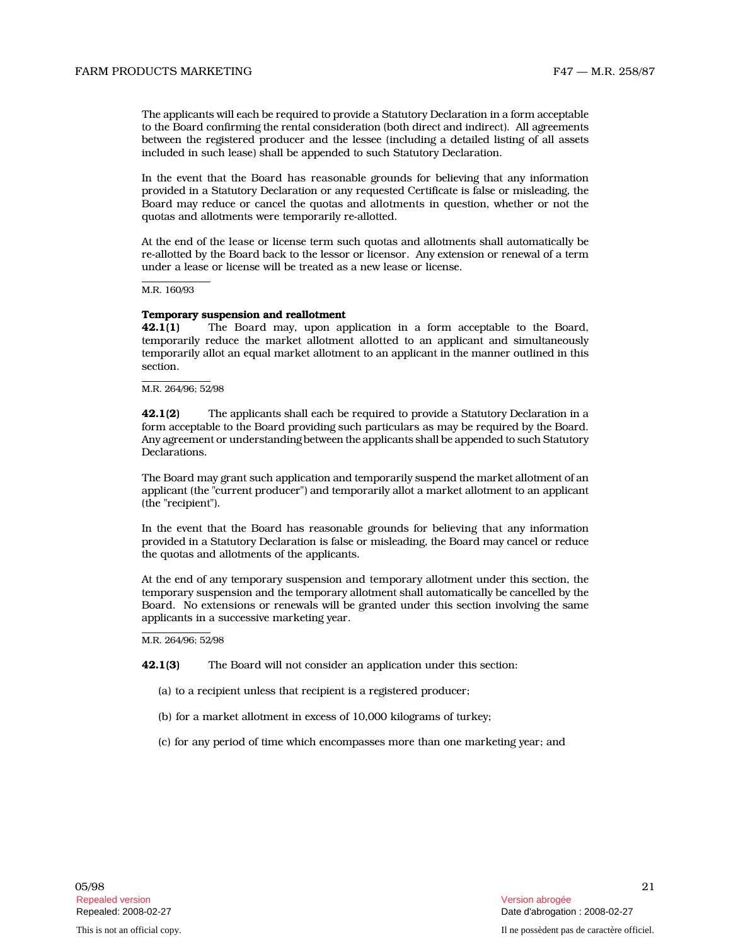The applicants will each be required to provide a Statutory Declaration in a form acceptable to the Board confirming the rental consideration (both direct and indirect). All agreements between the registered producer and the lessee (including a detailed listing of all assets included in such lease) shall be appended to such Statutory Declaration.

In the event that the Board has reasonable grounds for believing that any information provided in a Statutory Declaration or any requested Certificate is false or misleading, the Board may reduce or cancel the quotas and allotments in question, whether or not the quotas and allotments were temporarily re-allotted.

At the end of the lease or license term such quotas and allotments shall automatically be re-allotted by the Board back to the lessor or licensor. Any extension or renewal of a term under a lease or license will be treated as a new lease or license.

M.R. 160/93

### Temporary suspension and reallotment

42.1(1) The Board may, upon application in a form acceptable to the Board, temporarily reduce the market allotment allotted to an applicant and simultaneously temporarily allot an equal market allotment to an applicant in the manner outlined in this section.

M.R. 264/96; 52/98

**42.1(2)** The applicants shall each be required to provide a Statutory Declaration in a form acceptable to the Board providing such particulars as may be required by the Board. Any agreement or understanding between the applicants shall be appended to such Statutory Declarations.

The Board may grant such application and temporarily suspend the market allotment of an applicant (the "current producer") and temporarily allot a market allotment to an applicant (the "recipient").

In the event that the Board has reasonable grounds for believing that any information provided in a Statutory Declaration is false or misleading, the Board may cancel or reduce the quotas and allotments of the applicants.

At the end of any temporary suspension and temporary allotment under this section, the temporary suspension and the temporary allotment shall automatically be cancelled by the Board. No extensions or renewals will be granted under this section involving the same applicants in a successive marketing year.

M.R. 264/96; 52/98

42.1(3) The Board will not consider an application under this section:

- (a) to a recipient unless that recipient is a registered producer;
- (b) for a market allotment in excess of 10,000 kilograms of turkey;
- (c) for any period of time which encompasses more than one marketing year; and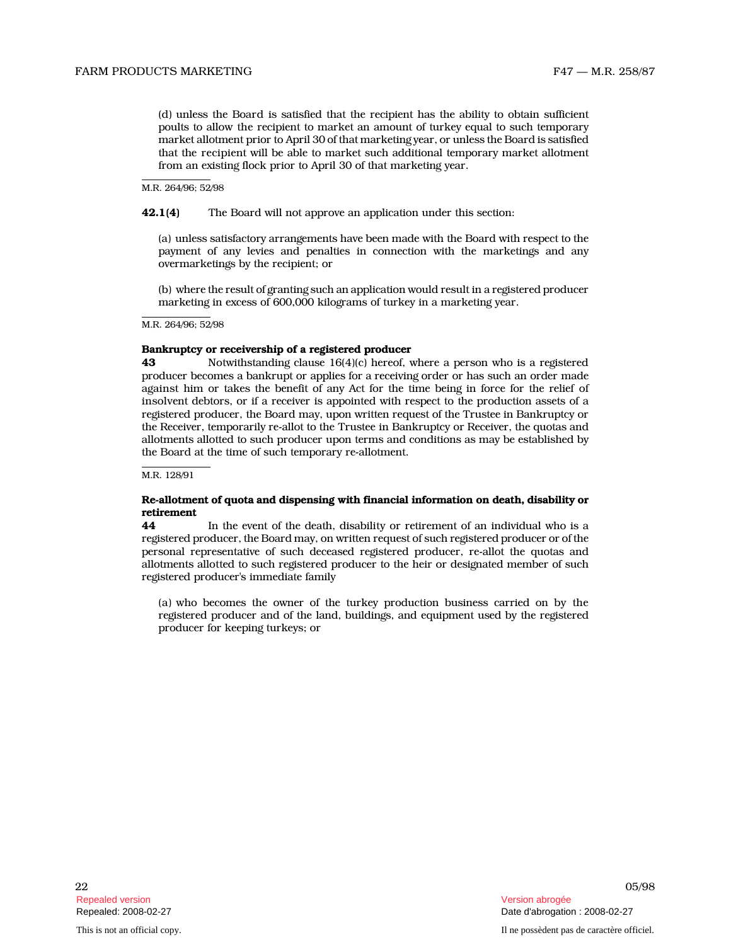(d) unless the Board is satisfied that the recipient has the ability to obtain sufficient poults to allow the recipient to market an amount of turkey equal to such temporary market allotment prior to April 30 of that marketing year, or unless the Board is satisfied that the recipient will be able to market such additional temporary market allotment from an existing flock prior to April 30 of that marketing year.

M.R. 264/96; 52/98

42.1(4) The Board will not approve an application under this section:

(a) unless satisfactory arrangements have been made with the Board with respect to the payment of any levies and penalties in connection with the marketings and any overmarketings by the recipient; or

(b) where the result of granting such an application would result in a registered producer marketing in excess of 600,000 kilograms of turkey in a marketing year.

M.R. 264/96; 52/98

#### Bankruptcy or receivership of a registered producer

43 Notwithstanding clause 16(4)(c) hereof, where a person who is a registered producer becomes a bankrupt or applies for a receiving order or has such an order made against him or takes the benefit of any Act for the time being in force for the relief of insolvent debtors, or if a receiver is appointed with respect to the production assets of a registered producer, the Board may, upon written request of the Trustee in Bankruptcy or the Receiver, temporarily re-allot to the Trustee in Bankruptcy or Receiver, the quotas and allotments allotted to such producer upon terms and conditions as may be established by the Board at the time of such temporary re-allotment.

M.R. 128/91

# Re-allotment of quota and dispensing with financial information on death, disability or retirement

44 In the event of the death, disability or retirement of an individual who is a registered producer, the Board may, on written request of such registered producer or of the personal representative of such deceased registered producer, re-allot the quotas and allotments allotted to such registered producer to the heir or designated member of such registered producer's immediate family

(a) who becomes the owner of the turkey production business carried on by the registered producer and of the land, buildings, and equipment used by the registered producer for keeping turkeys; or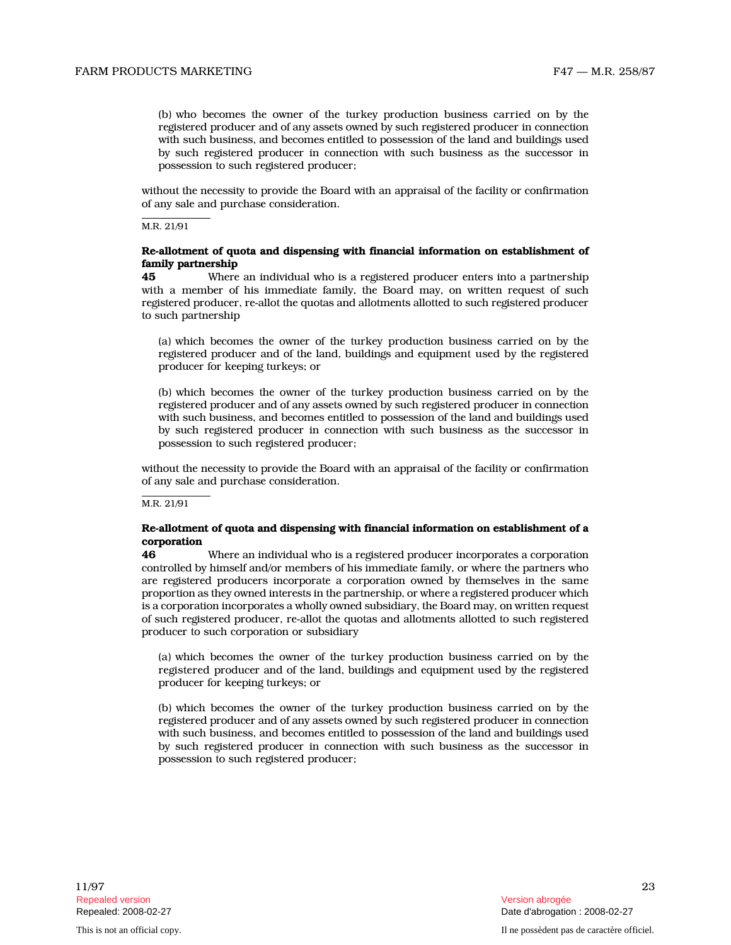(b) who becomes the owner of the turkey production business carried on by the registered producer and of any assets owned by such registered producer in connection with such business, and becomes entitled to possession of the land and buildings used by such registered producer in connection with such business as the successor in possession to such registered producer;

without the necessity to provide the Board with an appraisal of the facility or confirmation of any sale and purchase consideration.

M.R. 21/91

# Re-allotment of quota and dispensing with financial information on establishment of family partnership

45 Where an individual who is a registered producer enters into a partnership with a member of his immediate family, the Board may, on written request of such registered producer, re-allot the quotas and allotments allotted to such registered producer to such partnership

(a) which becomes the owner of the turkey production business carried on by the registered producer and of the land, buildings and equipment used by the registered producer for keeping turkeys; or

(b) which becomes the owner of the turkey production business carried on by the registered producer and of any assets owned by such registered producer in connection with such business, and becomes entitled to possession of the land and buildings used by such registered producer in connection with such business as the successor in possession to such registered producer;

without the necessity to provide the Board with an appraisal of the facility or confirmation of any sale and purchase consideration.

M.R. 21/91

# Re-allotment of quota and dispensing with financial information on establishment of a corporation

46 Where an individual who is a registered producer incorporates a corporation controlled by himself and/or members of his immediate family, or where the partners who are registered producers incorporate a corporation owned by themselves in the same proportion as they owned interests in the partnership, or where a registered producer which is a corporation incorporates a wholly owned subsidiary, the Board may, on written request of such registered producer, re-allot the quotas and allotments allotted to such registered producer to such corporation or subsidiary

(a) which becomes the owner of the turkey production business carried on by the registered producer and of the land, buildings and equipment used by the registered producer for keeping turkeys; or

(b) which becomes the owner of the turkey production business carried on by the registered producer and of any assets owned by such registered producer in connection with such business, and becomes entitled to possession of the land and buildings used by such registered producer in connection with such business as the successor in possession to such registered producer;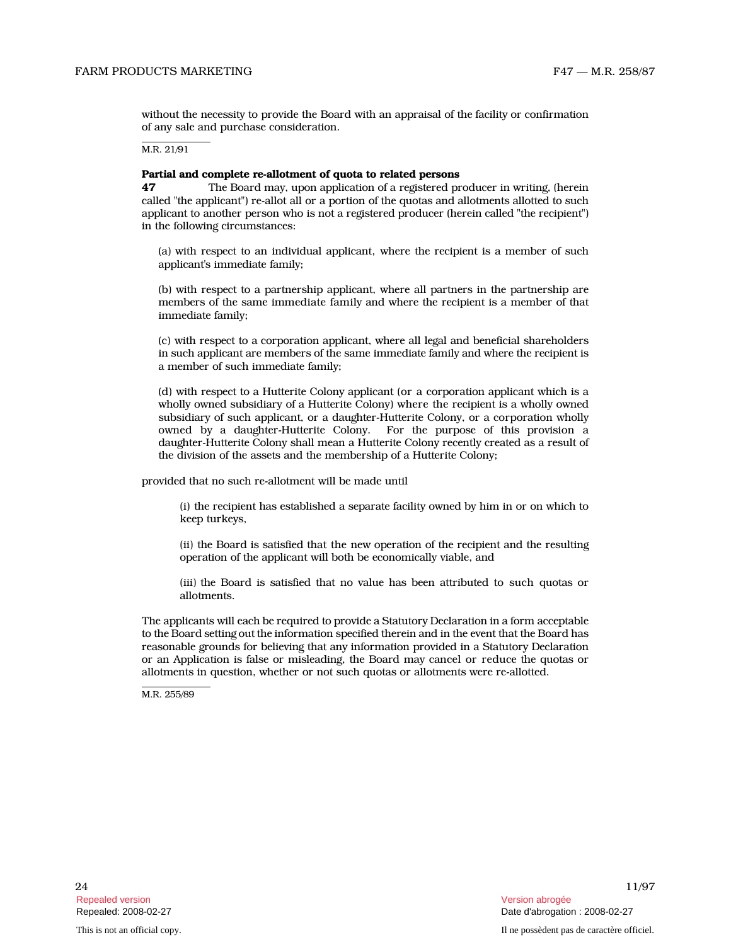without the necessity to provide the Board with an appraisal of the facility or confirmation of any sale and purchase consideration.

M.R. 21/91

#### Partial and complete re-allotment of quota to related persons

47 The Board may, upon application of a registered producer in writing, (herein called "the applicant") re-allot all or a portion of the quotas and allotments allotted to such applicant to another person who is not a registered producer (herein called "the recipient") in the following circumstances:

(a) with respect to an individual applicant, where the recipient is a member of such applicant's immediate family;

(b) with respect to a partnership applicant, where all partners in the partnership are members of the same immediate family and where the recipient is a member of that immediate family;

(c) with respect to a corporation applicant, where all legal and beneficial shareholders in such applicant are members of the same immediate family and where the recipient is a member of such immediate family;

(d) with respect to a Hutterite Colony applicant (or a corporation applicant which is a wholly owned subsidiary of a Hutterite Colony) where the recipient is a wholly owned subsidiary of such applicant, or a daughter-Hutterite Colony, or a corporation wholly owned by a daughter-Hutterite Colony. For the purpose of this provision a daughter-Hutterite Colony shall mean a Hutterite Colony recently created as a result of the division of the assets and the membership of a Hutterite Colony;

provided that no such re-allotment will be made until

(i) the recipient has established a separate facility owned by him in or on which to keep turkeys,

(ii) the Board is satisfied that the new operation of the recipient and the resulting operation of the applicant will both be economically viable, and

(iii) the Board is satisfied that no value has been attributed to such quotas or allotments.

The applicants will each be required to provide a Statutory Declaration in a form acceptable to the Board setting out the information specified therein and in the event that the Board has reasonable grounds for believing that any information provided in a Statutory Declaration or an Application is false or misleading, the Board may cancel or reduce the quotas or allotments in question, whether or not such quotas or allotments were re-allotted.

M.R. 255/89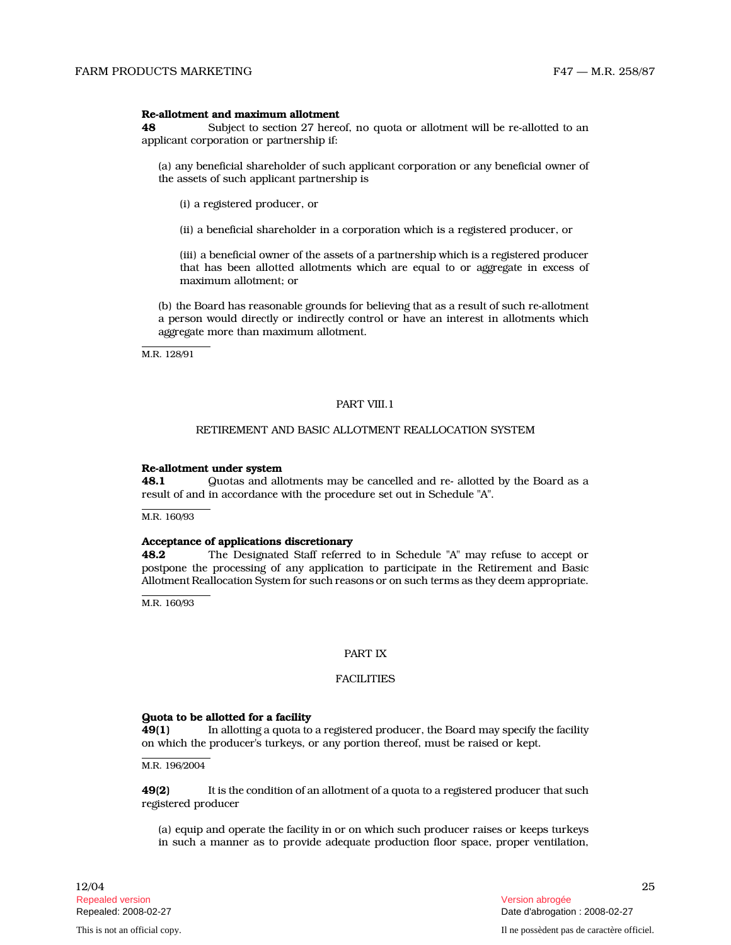# Re-allotment and maximum allotment

48 Subject to section 27 hereof, no quota or allotment will be re-allotted to an applicant corporation or partnership if:

(a) any beneficial shareholder of such applicant corporation or any beneficial owner of the assets of such applicant partnership is

(i) a registered producer, or

(ii) a beneficial shareholder in a corporation which is a registered producer, or

(iii) a beneficial owner of the assets of a partnership which is a registered producer that has been allotted allotments which are equal to or aggregate in excess of maximum allotment; or

(b) the Board has reasonable grounds for believing that as a result of such re-allotment a person would directly or indirectly control or have an interest in allotments which aggregate more than maximum allotment.

M.R. 128/91

# PART VIII.1

# RETIREMENT AND BASIC ALLOTMENT REALLOCATION SYSTEM

#### Re-allotment under system

48.1 Guotas and allotments may be cancelled and re- allotted by the Board as a result of and in accordance with the procedure set out in Schedule "A".

M.R. 160/93

#### Acceptance of applications discretionary

48.2 The Designated Staff referred to in Schedule "A" may refuse to accept or postpone the processing of any application to participate in the Retirement and Basic Allotment Reallocation System for such reasons or on such terms as they deem appropriate.

M.R. 160/93

# PART IX

# **FACILITIES**

# Quota to be allotted for a facility

49(1) In allotting a quota to a registered producer, the Board may specify the facility on which the producer's turkeys, or any portion thereof, must be raised or kept.

M.R. 196/2004

49(2) It is the condition of an allotment of a quota to a registered producer that such registered producer

(a) equip and operate the facility in or on which such producer raises or keeps turkeys in such a manner as to provide adequate production floor space, proper ventilation,

 $12/04$  25 Repealed version Version abrogée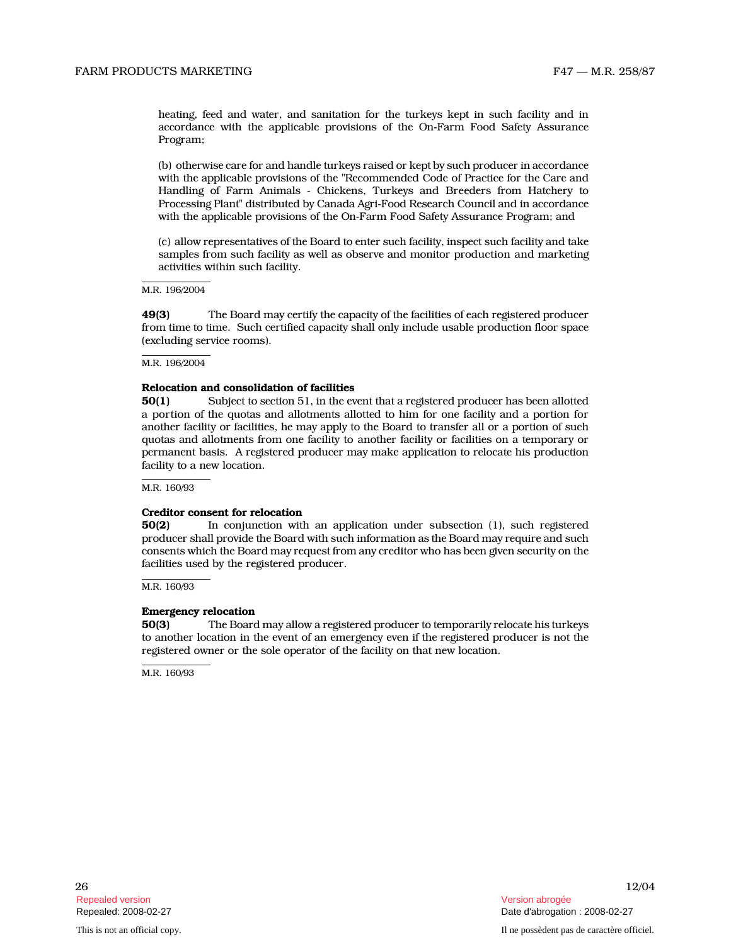heating, feed and water, and sanitation for the turkeys kept in such facility and in accordance with the applicable provisions of the On-Farm Food Safety Assurance Program;

(b) otherwise care for and handle turkeys raised or kept by such producer in accordance with the applicable provisions of the "Recommended Code of Practice for the Care and Handling of Farm Animals - Chickens, Turkeys and Breeders from Hatchery to Processing Plant" distributed by Canada Agri-Food Research Council and in accordance with the applicable provisions of the On-Farm Food Safety Assurance Program; and

(c) allow representatives of the Board to enter such facility, inspect such facility and take samples from such facility as well as observe and monitor production and marketing activities within such facility.

M.R. 196/2004

49(3) The Board may certify the capacity of the facilities of each registered producer from time to time. Such certified capacity shall only include usable production floor space (excluding service rooms).

M.R. 196/2004

# Relocation and consolidation of facilities

50(1) Subject to section 51, in the event that a registered producer has been allotted a portion of the quotas and allotments allotted to him for one facility and a portion for another facility or facilities, he may apply to the Board to transfer all or a portion of such quotas and allotments from one facility to another facility or facilities on a temporary or permanent basis. A registered producer may make application to relocate his production facility to a new location.

M.R. 160/93

#### Creditor consent for relocation

50(2) In conjunction with an application under subsection (1), such registered producer shall provide the Board with such information as the Board may require and such consents which the Board may request from any creditor who has been given security on the facilities used by the registered producer.

M.R. 160/93

# Emergency relocation

50(3) The Board may allow a registered producer to temporarily relocate his turkeys to another location in the event of an emergency even if the registered producer is not the registered owner or the sole operator of the facility on that new location.

M.R. 160/93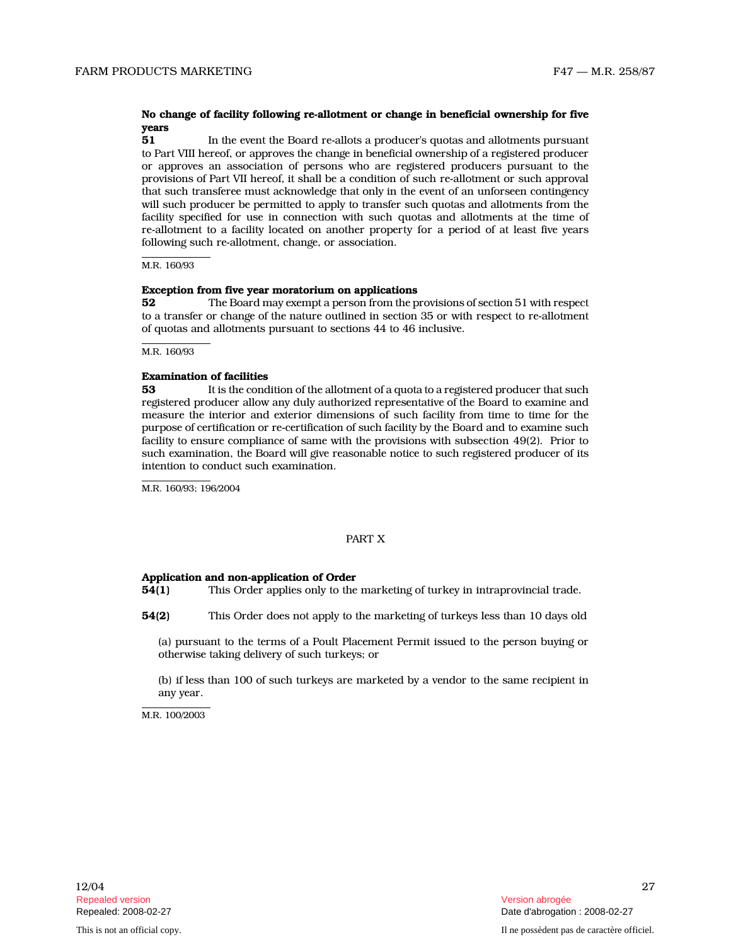# No change of facility following re-allotment or change in beneficial ownership for five years

51 In the event the Board re-allots a producer's quotas and allotments pursuant to Part VIII hereof, or approves the change in beneficial ownership of a registered producer or approves an association of persons who are registered producers pursuant to the provisions of Part VII hereof, it shall be a condition of such re-allotment or such approval that such transferee must acknowledge that only in the event of an unforseen contingency will such producer be permitted to apply to transfer such quotas and allotments from the facility specified for use in connection with such quotas and allotments at the time of re-allotment to a facility located on another property for a period of at least five years following such re-allotment, change, or association .

#### M.R. 160/93

# Exception from five year moratorium on applications

52 The Board may exempt a person from the provisions of section 51 with respect to a transfer or change of the nature outlined in section 35 or with respect to re-allotment of quotas and allotments pursuant to sections 44 to 46 inclusive.

M.R. 160/93

# Examination of facilities

53 It is the condition of the allotment of a quota to a registered producer that such registered producer allow any duly authorized representative of the Board to examine and measure the interior and exterior dimensions of such facility from time to time for the purpose of certification or re-certification of such facility by the Board and to examine such facility to ensure compliance of same with the provisions with subsection 49(2). Prior to such examination, the Board will give reasonable notice to such registered producer of its intention to conduct such examination.

M.R. 160/93; 196/2004

#### PART X

## Application and non-application of Order

- 54(1) This Order applies only to the marketing of turkey in intraprovincial trade.
- 54(2) This Order does not apply to the marketing of turkeys less than 10 days old

(a) pursuant to the terms of a Poult Placement Permit issued to the person buying or otherwise taking delivery of such turkeys; or

(b) if less than 100 of such turkeys are marketed by a vendor to the same recipient in any year.

M.R. 100/2003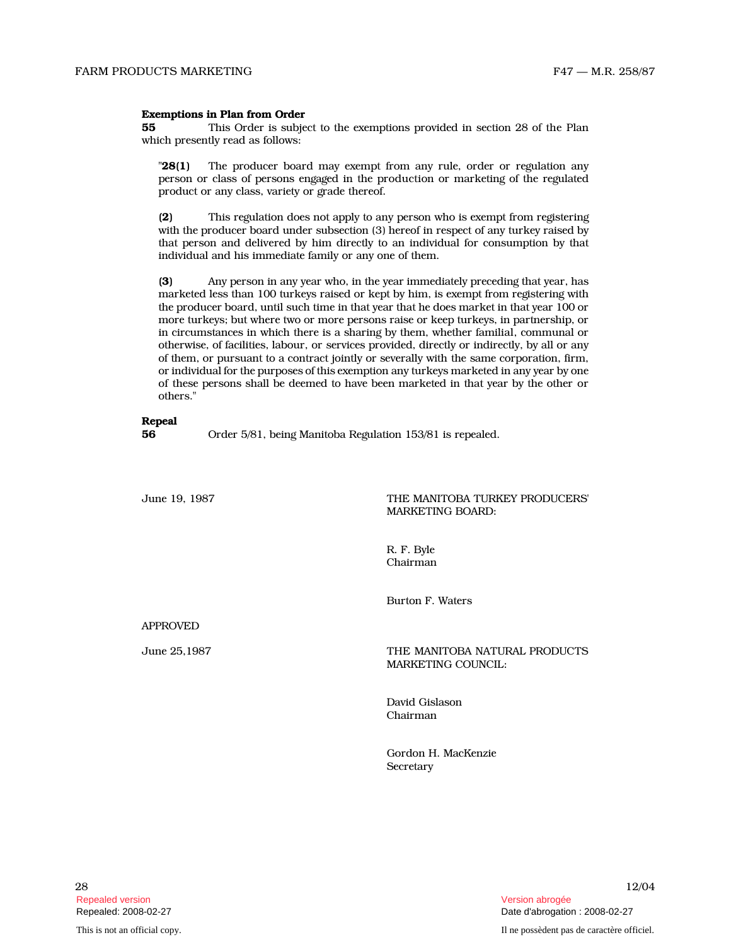## Exemptions in Plan from Order

55 This Order is subject to the exemptions provided in section 28 of the Plan which presently read as follows:

"28(1) The producer board may exempt from any rule, order or regulation any person or class of persons engaged in the production or marketing of the regulated product or any class, variety or grade thereof.

(2) This regulation does not apply to any person who is exempt from registering with the producer board under subsection (3) hereof in respect of any turkey raised by that person and delivered by him directly to an individual for consumption by that individual and his immediate family or any one of them.

(3) Any person in any year who, in the year immediately preceding that year, has marketed less than 100 turkeys raised or kept by him, is exempt from registering with the producer board, until such time in that year that he does market in that year 100 or more turkeys; but where two or more persons raise or keep turkeys, in partnership, or in circumstances in which there is a sharing by them, whether familial, communal or otherwise, of facilities, labour, or services provided, directly or indirectly, by all or any of them, or pursuant to a contract jointly or severally with the same corporation, firm, or individual for the purposes of this exemption any turkeys marketed in any year by one of these persons shall be deemed to have been marketed in that year by the other or others."

# Repeal

56 Order 5/81, being Manitoba Regulation 153/81 is repealed.

# June 19, 1987 THE MANITOBA TURKEY PRODUCERS' MARKETING BOARD:

R. F. Byle Chairman

Burton F. Waters

APPROVED

June 25,1987 **THE MANITOBA NATURAL PRODUCTS** MARKETING COUNCIL:

> David Gislason Chairman

Gordon H. MacKenzie **Secretary**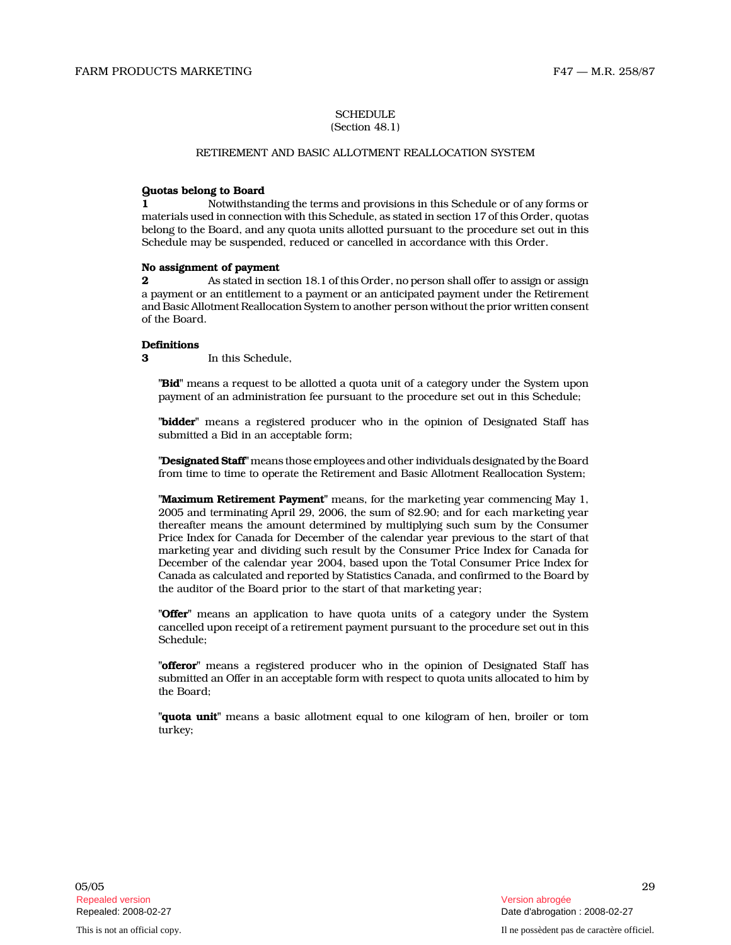# **SCHEDULE**

# (Section 48.1)

# RETIREMENT AND BASIC ALLOTMENT REALLOCATION SYSTEM

# Quotas belong to Board

1 Notwithstanding the terms and provisions in this Schedule or of any forms or materials used in connection with this Schedule, as stated in section 17 of this Order, quotas belong to the Board, and any quota units allotted pursuant to the procedure set out in this Schedule may be suspended, reduced or cancelled in accordance with this Order.

#### No assignment of payment

2 As stated in section 18.1 of this Order, no person shall offer to assign or assign a payment or an entitlement to a payment or an anticipated payment under the Retirement and Basic Allotment Reallocation System to another person without the prior written consent of the Board.

# **Definitions**

3 In this Schedule,

"Bid" means a request to be allotted a quota unit of a category under the System upon payment of an administration fee pursuant to the procedure set out in this Schedule;

"bidder" means a registered producer who in the opinion of Designated Staff has submitted a Bid in an acceptable form;

"Designated Staff" means those employees and other individuals designated by the Board from time to time to operate the Retirement and Basic Allotment Reallocation System;

"Maximum Retirement Payment" means, for the marketing year commencing May 1, 2005 and terminating April 29, 2006, the sum of \$2.90; and for each marketing year thereafter means the amount determined by multiplying such sum by the Consumer Price Index for Canada for December of the calendar year previous to the start of that marketing year and dividing such result by the Consumer Price Index for Canada for December of the calendar year 2004, based upon the Total Consumer Price Index for Canada as calculated and reported by Statistics Canada, and confirmed to the Board by the auditor of the Board prior to the start of that marketing year;

"**Offer**" means an application to have quota units of a category under the System cancelled upon receipt of a retirement payment pursuant to the procedure set out in this Schedule;

"offeror" means a registered producer who in the opinion of Designated Staff has submitted an Offer in an acceptable form with respect to quota units allocated to him by the Board;

"quota unit" means a basic allotment equal to one kilogram of hen, broiler or tom turkey;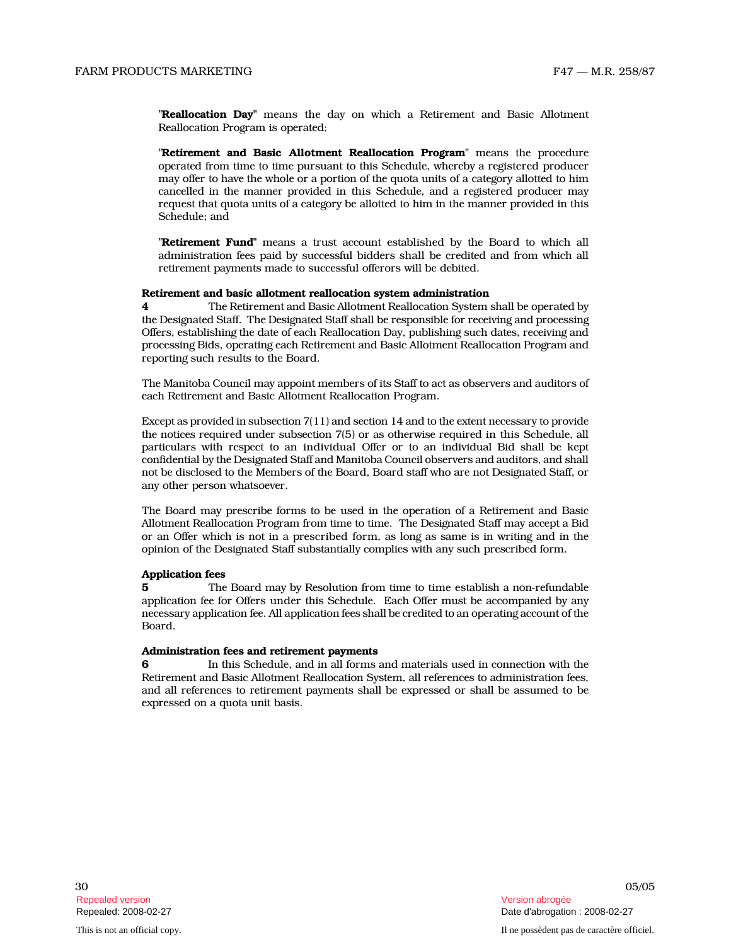"Reallocation Day" means the day on which a Retirement and Basic Allotment Reallocation Program is operated;

"Retirement and Basic Allotment Reallocation Program" means the procedure operated from time to time pursuant to this Schedule, whereby a registered producer may offer to have the whole or a portion of the quota units of a category allotted to him cancelled in the manner provided in this Schedule, and a registered producer may request that quota units of a category be allotted to him in the manner provided in this Schedule; and

"Retirement Fund" means a trust account established by the Board to which all administration fees paid by successful bidders shall be credited and from which all retirement payments made to successful offerors will be debited.

# Retirement and basic allotment reallocation system administration

4 The Retirement and Basic Allotment Reallocation System shall be operated by the Designated Staff. The Designated Staff shall be responsible for receiving and processing Offers, establishing the date of each Reallocation Day, publishing such dates, receiving and processing Bids, operating each Retirement and Basic Allotment Reallocation Program and reporting such results to the Board.

The Manitoba Council may appoint members of its Staff to act as observers and auditors of each Retirement and Basic Allotment Reallocation Program.

Except as provided in subsection 7(11) and section 14 and to the extent necessary to provide the notices required under subsection 7(5) or as otherwise required in this Schedule, all particulars with respect to an individual Offer or to an individual Bid shall be kept confidential by the Designated Staff and Manitoba Council observers and auditors, and shall not be disclosed to the Members of the Board, Board staff who are not Designated Staff, or any other person whatsoever.

The Board may prescribe forms to be used in the operation of a Retirement and Basic Allotment Reallocation Program from time to time. The Designated Staff may accept a Bid or an Offer which is not in a prescribed form, as long as same is in writing and in the opinion of the Designated Staff substantially complies with any such prescribed form.

#### Application fees

5 The Board may by Resolution from time to time establish a non-refundable application fee for Offers under this Schedule. Each Offer must be accompanied by any necessary application fee. All application fees shall be credited to an operating account of the Board.

## Administration fees and retirement payments

6 In this Schedule, and in all forms and materials used in connection with the Retirement and Basic Allotment Reallocation System, all references to administration fees, and all references to retirement payments shall be expressed or shall be assumed to be expressed on a quota unit basis.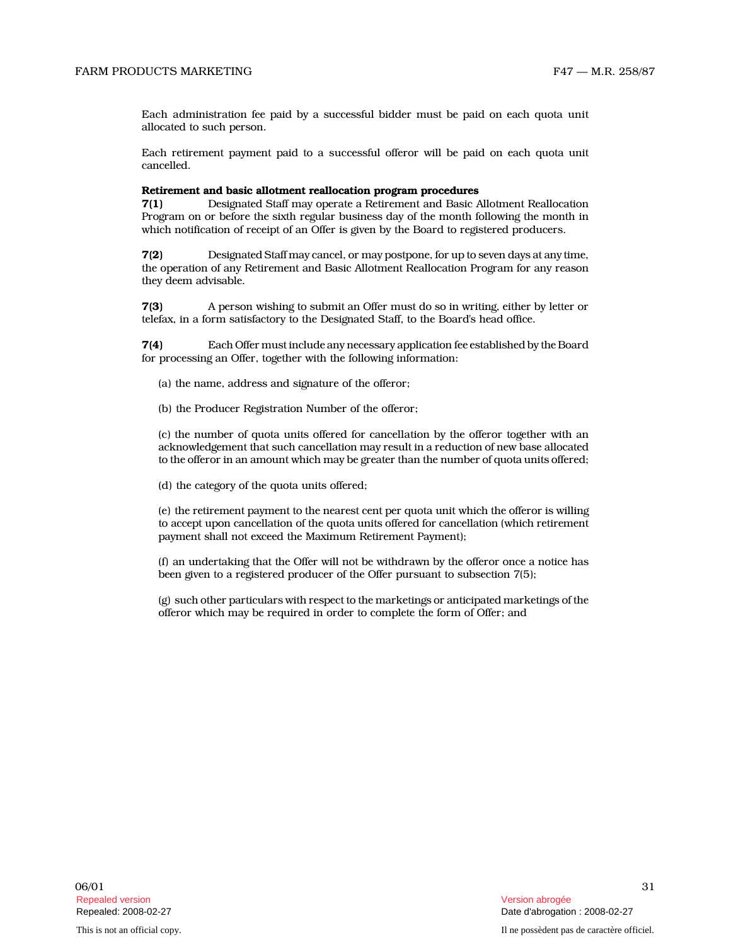Each administration fee paid by a successful bidder must be paid on each quota unit allocated to such person.

Each retirement payment paid to a successful offeror will be paid on each quota unit cancelled.

#### Retirement and basic allotment reallocation program procedures

7(1) Designated Staff may operate a Retirement and Basic Allotment Reallocation Program on or before the sixth regular business day of the month following the month in which notification of receipt of an Offer is given by the Board to registered producers.

7(2) Designated Staff may cancel, or may postpone, for up to seven days at any time, the operation of any Retirement and Basic Allotment Reallocation Program for any reason they deem advisable.

7(3) A person wishing to submit an Offer must do so in writing, either by letter or telefax, in a form satisfactory to the Designated Staff, to the Board's head office.

7(4) Each Offer must include any necessary application fee established by the Board for processing an Offer, together with the following information:

(a) the name, address and signature of the offeror;

(b) the Producer Registration Number of the offeror;

(c) the number of quota units offered for cancellation by the offeror together with an acknowledgement that such cancellation may result in a reduction of new base allocated to the offeror in an amount which may be greater than the number of quota units offered;

(d) the category of the quota units offered;

(e) the retirement payment to the nearest cent per quota unit which the offeror is willing to accept upon cancellation of the quota units offered for cancellation (which retirement payment shall not exceed the Maximum Retirement Payment);

(f) an undertaking that the Offer will not be withdrawn by the offeror once a notice has been given to a registered producer of the Offer pursuant to subsection 7(5);

(g) such other particulars with respect to the marketings or anticipated marketings of the offeror which may be required in order to complete the form of Offer; and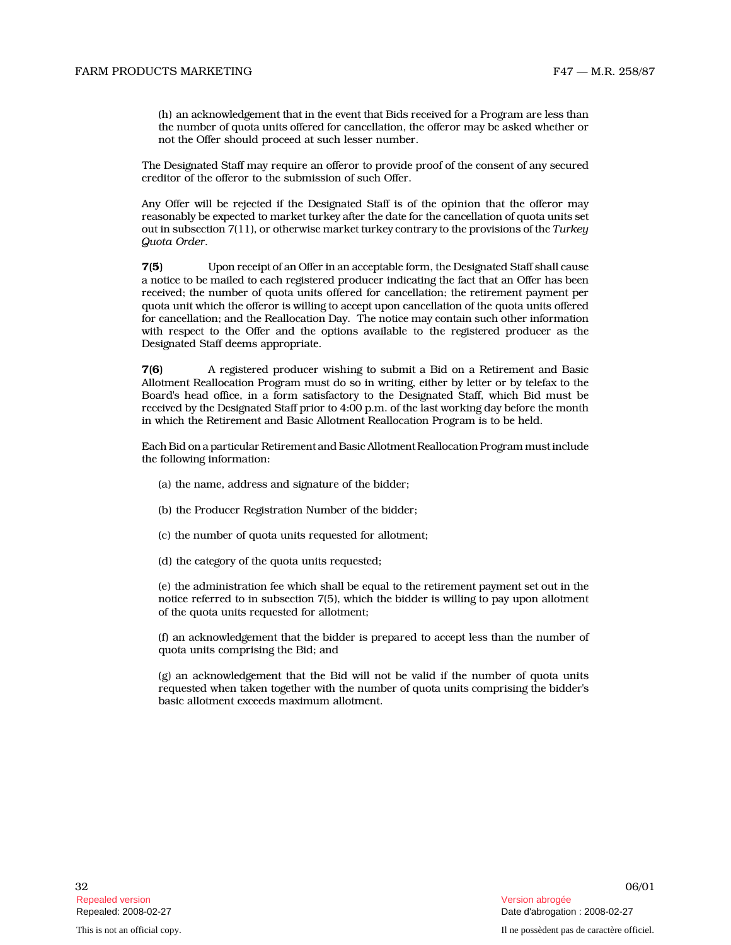(h) an acknowledgement that in the event that Bids received for a Program are less than the number of quota units offered for cancellation, the offeror may be asked whether or not the Offer should proceed at such lesser number.

The Designated Staff may require an offeror to provide proof of the consent of any secured creditor of the offeror to the submission of such Offer.

Any Offer will be rejected if the Designated Staff is of the opinion that the offeror may reasonably be expected to market turkey after the date for the cancellation of quota units set out in subsection  $7(11)$ , or otherwise market turkey contrary to the provisions of the Turkey Quota Order .

7(5) Upon receipt of an Offer in an acceptable form, the Designated Staff shall cause a notice to be mailed to each registered producer indicating the fact that an Offer has been received; the number of quota units offered for cancellation; the retirement payment per quota unit which the offeror is willing to accept upon cancellation of the quota units offered for cancellation; and the Reallocation Day. The notice may contain such other information with respect to the Offer and the options available to the registered producer as the Designated Staff deems appropriate.

7(6) A registered producer wishing to submit a Bid on a Retirement and Basic Allotment Reallocation Program must do so in writing, either by letter or by telefax to the Board's head office, in a form satisfactory to the Designated Staff, which Bid must be received by the Designated Staff prior to 4:00 p.m. of the last working day before the month in which the Retirement and Basic Allotment Reallocation Program is to be held.

Each Bid on a particular Retirement and Basic Allotment Reallocation Program must include the following information:

- (a) the name, address and signature of the bidder;
- (b) the Producer Registration Number of the bidder;
- (c) the number of quota units requested for allotment;
- (d) the category of the quota units requested;

(e) the administration fee which shall be equal to the retirement payment set out in the notice referred to in subsection 7(5), which the bidder is willing to pay upon allotment of the quota units requested for allotment;

(f) an acknowledgement that the bidder is prepared to accept less than the number of quota units comprising the Bid; and

(g) an acknowledgement that the Bid will not be valid if the number of quota units requested when taken together with the number of quota units comprising the bidder's basic allotment exceeds maximum allotment.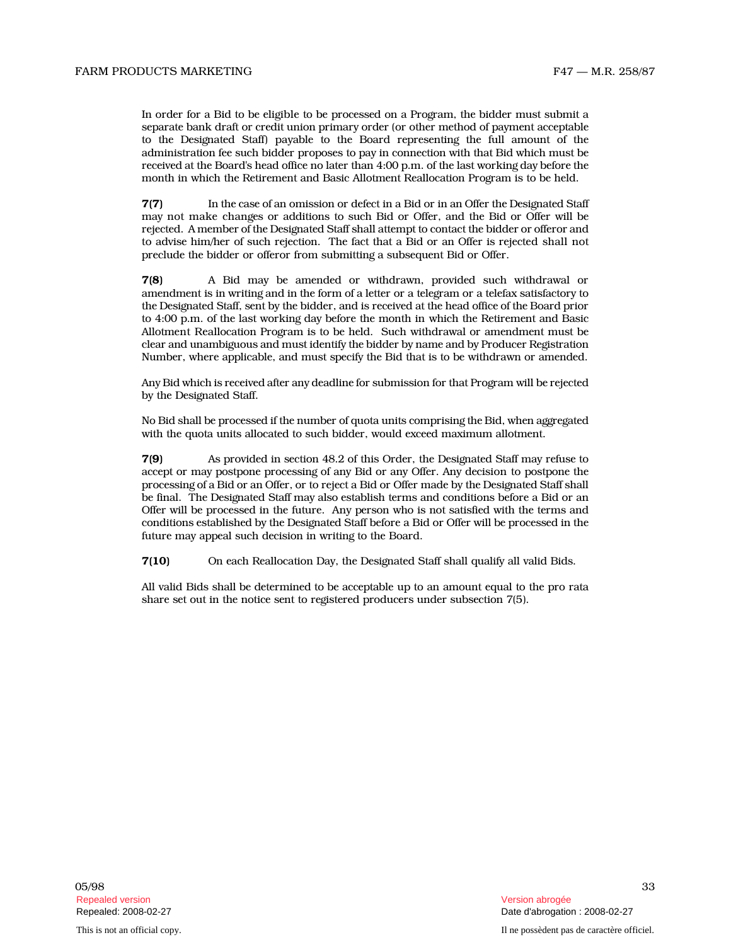In order for a Bid to be eligible to be processed on a Program, the bidder must submit a separate bank draft or credit union primary order (or other method of payment acceptable to the Designated Staff) payable to the Board representing the full amount of the administration fee such bidder proposes to pay in connection with that Bid which must be received at the Board's head office no later than 4:00 p.m. of the last working day before the month in which the Retirement and Basic Allotment Reallocation Program is to be held.

7(7) In the case of an omission or defect in a Bid or in an Offer the Designated Staff may not make changes or additions to such Bid or Offer, and the Bid or Offer will be rejected. A member of the Designated Staff shall attempt to contact the bidder or offeror and to advise him/her of such rejection. The fact that a Bid or an Offer is rejected shall not preclude the bidder or offeror from submitting a subsequent Bid or Offer.

7(8) A Bid may be amended or withdrawn, provided such withdrawal or amendment is in writing and in the form of a letter or a telegram or a telefax satisfactory to the Designated Staff, sent by the bidder, and is received at the head office of the Board prior to 4:00 p.m. of the last working day before the month in which the Retirement and Basic Allotment Reallocation Program is to be held. Such withdrawal or amendment must be clear and unambiguous and must identify the bidder by name and by Producer Registration Number, where applicable, and must specify the Bid that is to be withdrawn or amended.

Any Bid which is received after any deadline for submission for that Program will be rejected by the Designated Staff.

No Bid shall be processed if the number of quota units comprising the Bid, when aggregated with the quota units allocated to such bidder, would exceed maximum allotment.

7(9) As provided in section 48.2 of this Order, the Designated Staff may refuse to accept or may postpone processing of any Bid or any Offer. Any decision to postpone the processing of a Bid or an Offer, or to reject a Bid or Offer made by the Designated Staff shall be final. The Designated Staff may also establish terms and conditions before a Bid or an Offer will be processed in the future. Any person who is not satisfied with the terms and conditions established by the Designated Staff before a Bid or Offer will be processed in the future may appeal such decision in writing to the Board.

7(10) On each Reallocation Day, the Designated Staff shall qualify all valid Bids.

All valid Bids shall be determined to be acceptable up to an amount equal to the pro rata share set out in the notice sent to registered producers under subsection 7(5).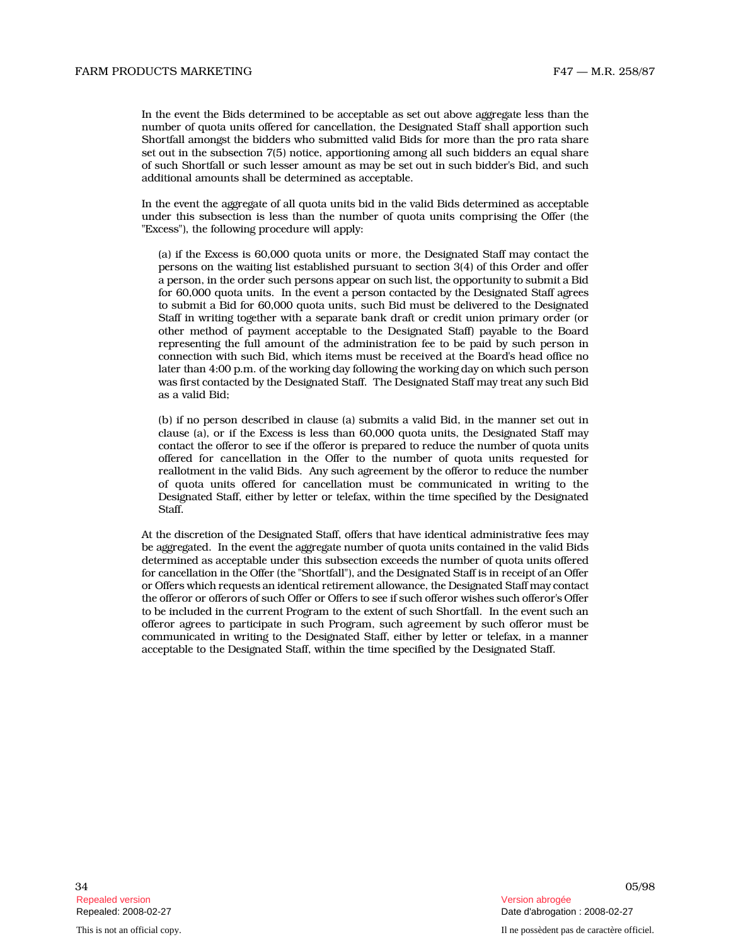In the event the Bids determined to be acceptable as set out above aggregate less than the number of quota units offered for cancellation, the Designated Staff shall apportion such Shortfall amongst the bidders who submitted valid Bids for more than the pro rata share set out in the subsection 7(5) notice, apportioning among all such bidders an equal share of such Shortfall or such lesser amount as may be set out in such bidder's Bid, and such additional amounts shall be determined as acceptable.

In the event the aggregate of all quota units bid in the valid Bids determined as acceptable under this subsection is less than the number of quota units comprising the Offer (the "Excess"), the following procedure will apply:

(a) if the Excess is 60,000 quota units or more, the Designated Staff may contact the persons on the waiting list established pursuant to section 3(4) of this Order and offer a person, in the order such persons appear on such list, the opportunity to submit a Bid for 60,000 quota units. In the event a person contacted by the Designated Staff agrees to submit a Bid for 60,000 quota units, such Bid must be delivered to the Designated Staff in writing together with a separate bank draft or credit union primary order (or other method of payment acceptable to the Designated Staff) payable to the Board representing the full amount of the administration fee to be paid by such person in connection with such Bid, which items must be received at the Board's head office no later than 4:00 p.m. of the working day following the working day on which such person was first contacted by the Designated Staff. The Designated Staff may treat any such Bid as a valid Bid;

(b) if no person described in clause (a) submits a valid Bid, in the manner set out in clause (a), or if the Excess is less than 60,000 quota units, the Designated Staff may contact the offeror to see if the offeror is prepared to reduce the number of quota units offered for cancellation in the Offer to the number of quota units requested for reallotment in the valid Bids. Any such agreement by the offeror to reduce the number of quota units offered for cancellation must be communicated in writing to the Designated Staff, either by letter or telefax, within the time specified by the Designated Staff.

At the discretion of the Designated Staff, offers that have identical administrative fees may be aggregated. In the event the aggregate number of quota units contained in the valid Bids determined as acceptable under this subsection exceeds the number of quota units offered for cancellation in the Offer (the "Shortfall"), and the Designated Staff is in receipt of an Offer or Offers which requests an identical retirement allowance, the Designated Staff may contact the offeror or offerors of such Offer or Offers to see if such offeror wishes such offeror's Offer to be included in the current Program to the extent of such Shortfall. In the event such an offeror agrees to participate in such Program, such agreement by such offeror must be communicated in writing to the Designated Staff, either by letter or telefax, in a manner acceptable to the Designated Staff, within the time specified by the Designated Staff.

34 05/98 Repealed version abrogée et al. Alian abrogée et al. Alian abrogée et al. Alian abrogée et al. Alian abrogée e

This is not an official copy. Il ne possèdent pas de caractère officiel.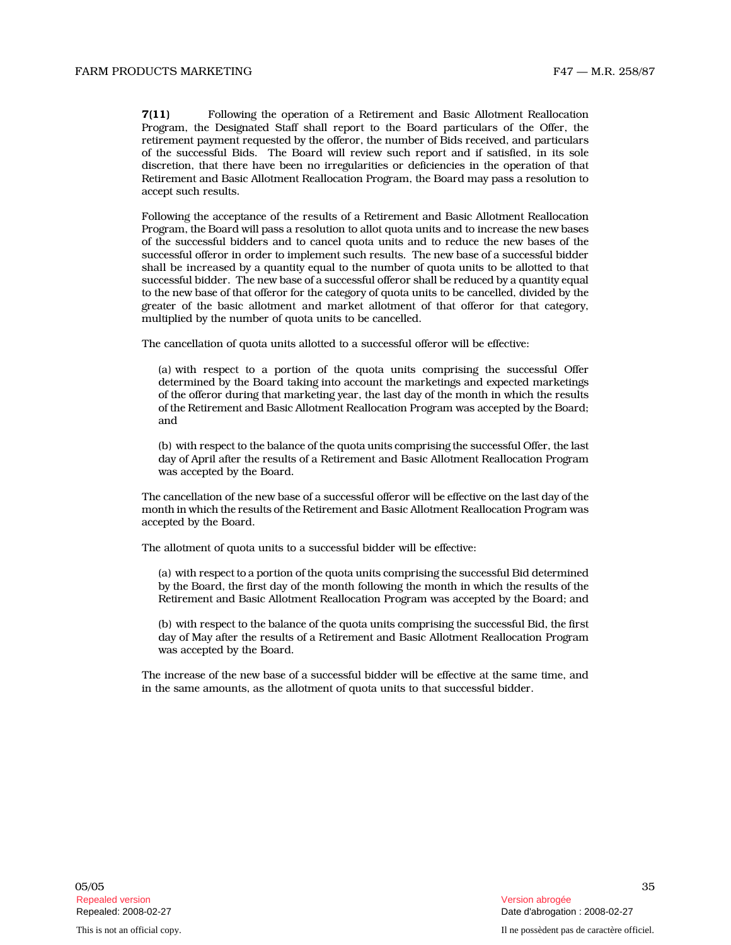7(11) Following the operation of a Retirement and Basic Allotment Reallocation Program, the Designated Staff shall report to the Board particulars of the Offer, the retirement payment requested by the offeror, the number of Bids received, and particulars of the successful Bids. The Board will review such report and if satisfied, in its sole discretion, that there have been no irregularities or deficiencies in the operation of that Retirement and Basic Allotment Reallocation Program, the Board may pass a resolution to accept such results.

Following the acceptance of the results of a Retirement and Basic Allotment Reallocation Program, the Board will pass a resolution to allot quota units and to increase the new bases of the successful bidders and to cancel quota units and to reduce the new bases of the successful offeror in order to implement such results. The new base of a successful bidder shall be increased by a quantity equal to the number of quota units to be allotted to that successful bidder. The new base of a successful offeror shall be reduced by a quantity equal to the new base of that offeror for the category of quota units to be cancelled, divided by the greater of the basic allotment and market allotment of that offeror for that category, multiplied by the number of quota units to be cancelled.

The cancellation of quota units allotted to a successful offeror will be effective:

(a) with respect to a portion of the quota units comprising the successful Offer determined by the Board taking into account the marketings and expected marketings of the offeror during that marketing year, the last day of the month in which the results of the Retirement and Basic Allotment Reallocation Program was accepted by the Board; and

(b) with respect to the balance of the quota units comprising the successful Offer, the last day of April after the results of a Retirement and Basic Allotment Reallocation Program was accepted by the Board.

The cancellation of the new base of a successful offeror will be effective on the last day of the month in which the results of the Retirement and Basic Allotment Reallocation Program was accepted by the Board.

The allotment of quota units to a successful bidder will be effective:

(a) with respect to a portion of the quota units comprising the successful Bid determined by the Board, the first day of the month following the month in which the results of the Retirement and Basic Allotment Reallocation Program was accepted by the Board; and

(b) with respect to the balance of the quota units comprising the successful Bid, the first day of May after the results of a Retirement and Basic Allotment Reallocation Program was accepted by the Board.

The increase of the new base of a successful bidder will be effective at the same time, and in the same amounts, as the allotment of quota units to that successful bidder.